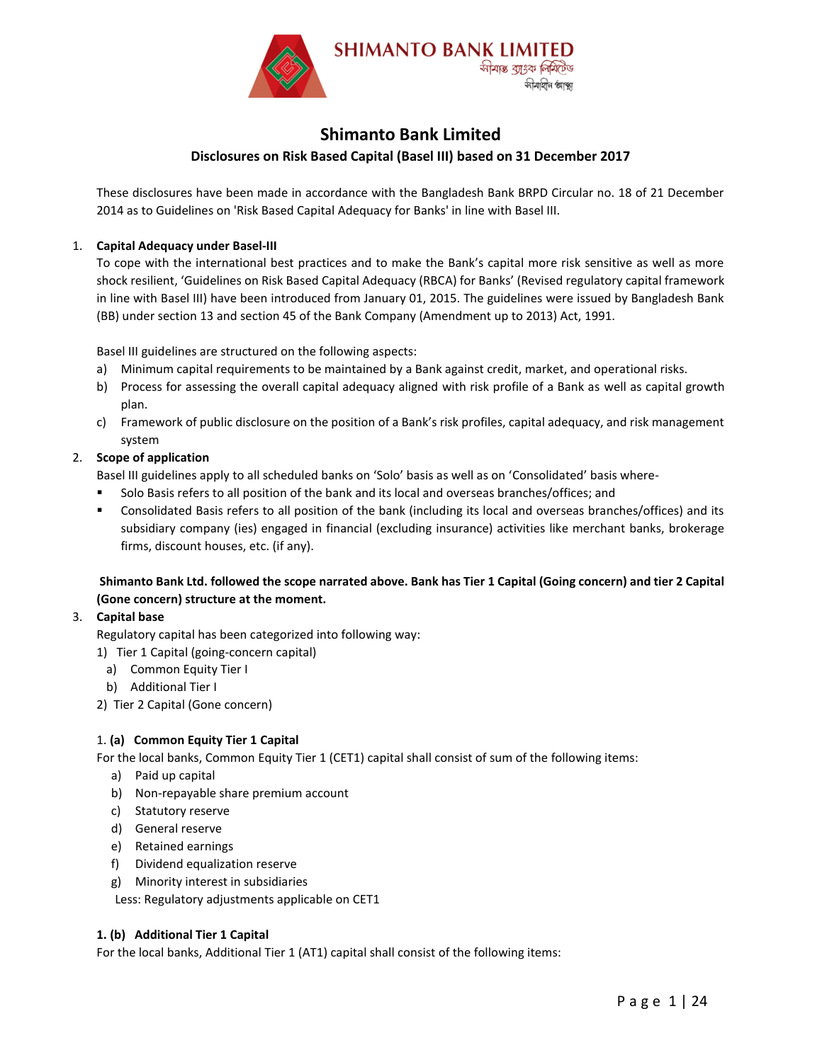

# **Shimanto Bank Limited**

#### **Disclosures on Risk Based Capital (Basel III) based on 31 December 2017**

These disclosures have been made in accordance with the Bangladesh Bank BRPD Circular no. 18 of 21 December 2014 as to Guidelines on 'Risk Based Capital Adequacy for Banks' in line with Basel III.

#### 1. **Capital Adequacy under Basel-III**

To cope with the international best practices and to make the Bank's capital more risk sensitive as well as more shock resilient, 'Guidelines on Risk Based Capital Adequacy (RBCA) for Banks' (Revised regulatory capital framework in line with Basel III) have been introduced from January 01, 2015. The guidelines were issued by Bangladesh Bank (BB) under section 13 and section 45 of the Bank Company (Amendment up to 2013) Act, 1991.

Basel III guidelines are structured on the following aspects:

- a) Minimum capital requirements to be maintained by a Bank against credit, market, and operational risks.
- b) Process for assessing the overall capital adequacy aligned with risk profile of a Bank as well as capital growth plan.
- c) Framework of public disclosure on the position of a Bank's risk profiles, capital adequacy, and risk management system

#### 2. **Scope of application**

Basel III guidelines apply to all scheduled banks on 'Solo' basis as well as on 'Consolidated' basis where-

- Solo Basis refers to all position of the bank and its local and overseas branches/offices; and
- Consolidated Basis refers to all position of the bank (including its local and overseas branches/offices) and its subsidiary company (ies) engaged in financial (excluding insurance) activities like merchant banks, brokerage firms, discount houses, etc. (if any).

#### **Shimanto Bank Ltd. followed the scope narrated above. Bank has Tier 1 Capital (Going concern) and tier 2 Capital (Gone concern) structure at the moment.**

#### 3. **Capital base**

Regulatory capital has been categorized into following way:

- 1) Tier 1 Capital (going-concern capital)
- a) Common Equity Tier I
- b) Additional Tier I
- 2) Tier 2 Capital (Gone concern)

# 1. **(a) Common Equity Tier 1 Capital**

For the local banks, Common Equity Tier 1 (CET1) capital shall consist of sum of the following items:

- a) Paid up capital
- b) Non-repayable share premium account
- c) Statutory reserve
- d) General reserve
- e) Retained earnings
- f) Dividend equalization reserve
- g) Minority interest in subsidiaries

Less: Regulatory adjustments applicable on CET1

#### **1. (b) Additional Tier 1 Capital**

For the local banks, Additional Tier 1 (AT1) capital shall consist of the following items: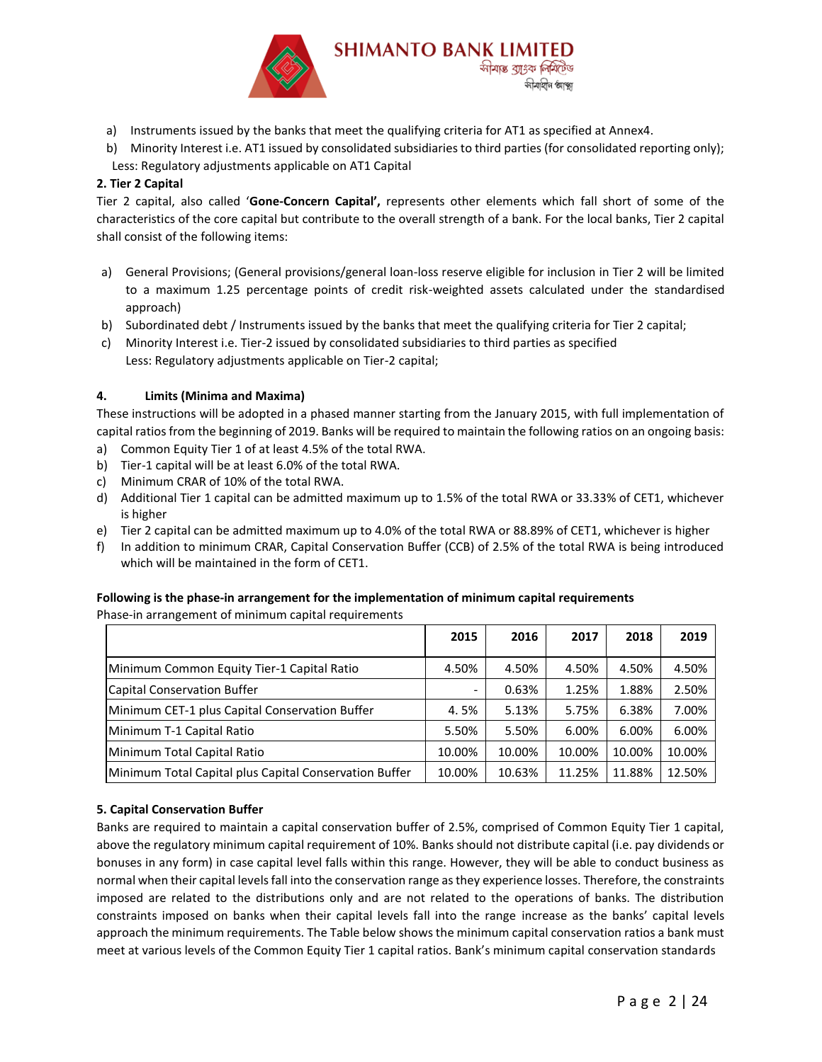

- a) Instruments issued by the banks that meet the qualifying criteria for AT1 as specified at Annex4.
- b) Minority Interest i.e. AT1 issued by consolidated subsidiaries to third parties (for consolidated reporting only); Less: Regulatory adjustments applicable on AT1 Capital

### **2. Tier 2 Capital**

Tier 2 capital, also called '**Gone-Concern Capital',** represents other elements which fall short of some of the characteristics of the core capital but contribute to the overall strength of a bank. For the local banks, Tier 2 capital shall consist of the following items:

- a) General Provisions; (General provisions/general loan-loss reserve eligible for inclusion in Tier 2 will be limited to a maximum 1.25 percentage points of credit risk-weighted assets calculated under the standardised approach)
- b) Subordinated debt / Instruments issued by the banks that meet the qualifying criteria for Tier 2 capital;
- c) Minority Interest i.e. Tier-2 issued by consolidated subsidiaries to third parties as specified Less: Regulatory adjustments applicable on Tier-2 capital;

#### **4. Limits (Minima and Maxima)**

These instructions will be adopted in a phased manner starting from the January 2015, with full implementation of capital ratios from the beginning of 2019. Banks will be required to maintain the following ratios on an ongoing basis:

- a) Common Equity Tier 1 of at least 4.5% of the total RWA.
- b) Tier-1 capital will be at least 6.0% of the total RWA.
- c) Minimum CRAR of 10% of the total RWA.
- d) Additional Tier 1 capital can be admitted maximum up to 1.5% of the total RWA or 33.33% of CET1, whichever is higher
- e) Tier 2 capital can be admitted maximum up to 4.0% of the total RWA or 88.89% of CET1, whichever is higher
- f) In addition to minimum CRAR, Capital Conservation Buffer (CCB) of 2.5% of the total RWA is being introduced which will be maintained in the form of CET1.

#### **Following is the phase-in arrangement for the implementation of minimum capital requirements**

Phase-in arrangement of minimum capital requirements

|                                                        | 2015                     | 2016   | 2017   | 2018   | 2019   |
|--------------------------------------------------------|--------------------------|--------|--------|--------|--------|
| Minimum Common Equity Tier-1 Capital Ratio             | 4.50%                    | 4.50%  | 4.50%  | 4.50%  | 4.50%  |
| Capital Conservation Buffer                            | $\overline{\phantom{0}}$ | 0.63%  | 1.25%  | 1.88%  | 2.50%  |
| Minimum CET-1 plus Capital Conservation Buffer         | 4.5%                     | 5.13%  | 5.75%  | 6.38%  | 7.00%  |
| Minimum T-1 Capital Ratio                              | 5.50%                    | 5.50%  | 6.00%  | 6.00%  | 6.00%  |
| Minimum Total Capital Ratio                            | 10.00%                   | 10.00% | 10.00% | 10.00% | 10.00% |
| Minimum Total Capital plus Capital Conservation Buffer | 10.00%                   | 10.63% | 11.25% | 11.88% | 12.50% |

#### **5. Capital Conservation Buffer**

Banks are required to maintain a capital conservation buffer of 2.5%, comprised of Common Equity Tier 1 capital, above the regulatory minimum capital requirement of 10%. Banks should not distribute capital (i.e. pay dividends or bonuses in any form) in case capital level falls within this range. However, they will be able to conduct business as normal when their capital levels fall into the conservation range as they experience losses. Therefore, the constraints imposed are related to the distributions only and are not related to the operations of banks. The distribution constraints imposed on banks when their capital levels fall into the range increase as the banks' capital levels approach the minimum requirements. The Table below shows the minimum capital conservation ratios a bank must meet at various levels of the Common Equity Tier 1 capital ratios. Bank's minimum capital conservation standards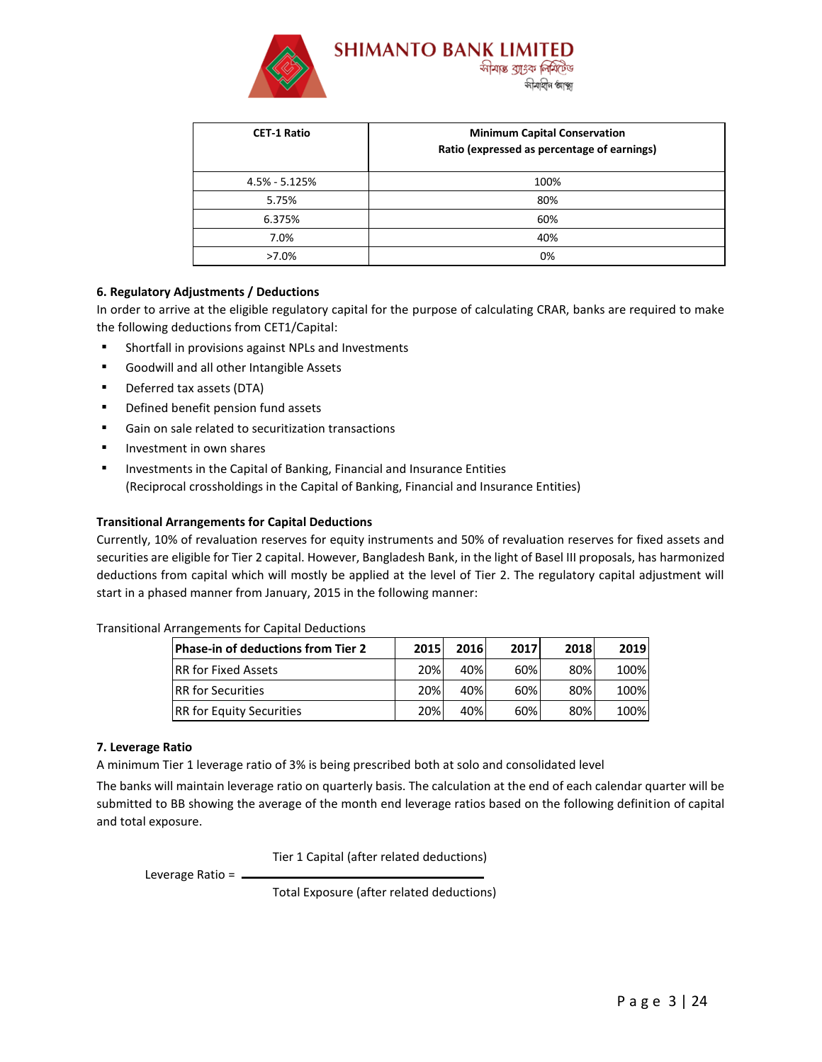

| <b>CET-1 Ratio</b> | <b>Minimum Capital Conservation</b><br>Ratio (expressed as percentage of earnings) |
|--------------------|------------------------------------------------------------------------------------|
| $4.5\% - 5.125\%$  | 100%                                                                               |
| 5.75%              | 80%                                                                                |
| 6.375%             | 60%                                                                                |
| 7.0%               | 40%                                                                                |
| $>7.0\%$           | 0%                                                                                 |

#### **6. Regulatory Adjustments / Deductions**

In order to arrive at the eligible regulatory capital for the purpose of calculating CRAR, banks are required to make the following deductions from CET1/Capital:

- Shortfall in provisions against NPLs and Investments
- Goodwill and all other Intangible Assets
- Deferred tax assets (DTA)
- Defined benefit pension fund assets
- Gain on sale related to securitization transactions
- Investment in own shares
- Investments in the Capital of Banking, Financial and Insurance Entities (Reciprocal crossholdings in the Capital of Banking, Financial and Insurance Entities)

#### **Transitional Arrangements for Capital Deductions**

Currently, 10% of revaluation reserves for equity instruments and 50% of revaluation reserves for fixed assets and securities are eligible for Tier 2 capital. However, Bangladesh Bank, in the light of Basel III proposals, has harmonized deductions from capital which will mostly be applied at the level of Tier 2. The regulatory capital adjustment will start in a phased manner from January, 2015 in the following manner:

#### Transitional Arrangements for Capital Deductions

| <b>Phase-in of deductions from Tier 2</b> | 2015 | 2016 | 2017 | 2018 | 2019 |
|-------------------------------------------|------|------|------|------|------|
| <b>IRR for Fixed Assets</b>               | 20%  | 40%  | 60%  | 80%  | 100% |
| <b>IRR</b> for Securities                 | 20%  | 40%  | 60%  | 80%  | 100% |
| <b>RR</b> for Equity Securities           | 20%  | 40%  | 60%  | 80%  | 100% |

#### **7. Leverage Ratio**

A minimum Tier 1 leverage ratio of 3% is being prescribed both at solo and consolidated level

The banks will maintain leverage ratio on quarterly basis. The calculation at the end of each calendar quarter will be submitted to BB showing the average of the month end leverage ratios based on the following definition of capital and total exposure.

Tier 1 Capital (after related deductions)

Leverage Ratio  $=$   $\blacksquare$ 

Total Exposure (after related deductions)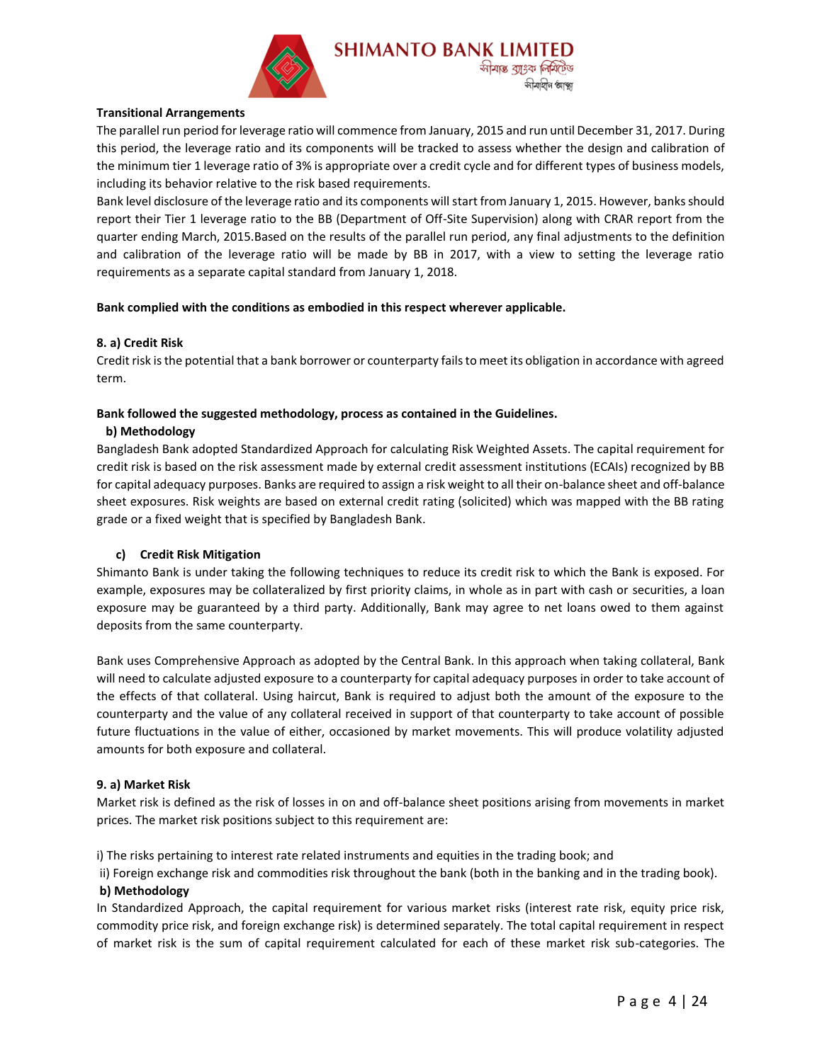

#### **Transitional Arrangements**

The parallel run period for leverage ratio will commence from January, 2015 and run until December 31, 2017. During this period, the leverage ratio and its components will be tracked to assess whether the design and calibration of the minimum tier 1 leverage ratio of 3% is appropriate over a credit cycle and for different types of business models, including its behavior relative to the risk based requirements.

Bank level disclosure of the leverage ratio and its components will start from January 1, 2015. However, banks should report their Tier 1 leverage ratio to the BB (Department of Off-Site Supervision) along with CRAR report from the quarter ending March, 2015.Based on the results of the parallel run period, any final adjustments to the definition and calibration of the leverage ratio will be made by BB in 2017, with a view to setting the leverage ratio requirements as a separate capital standard from January 1, 2018.

#### **Bank complied with the conditions as embodied in this respect wherever applicable.**

#### **8. a) Credit Risk**

Credit risk is the potential that a bank borrower or counterparty fails to meet its obligation in accordance with agreed term.

#### **Bank followed the suggested methodology, process as contained in the Guidelines.**

#### **b) Methodology**

Bangladesh Bank adopted Standardized Approach for calculating Risk Weighted Assets. The capital requirement for credit risk is based on the risk assessment made by external credit assessment institutions (ECAIs) recognized by BB for capital adequacy purposes. Banks are required to assign a risk weight to all their on-balance sheet and off-balance sheet exposures. Risk weights are based on external credit rating (solicited) which was mapped with the BB rating grade or a fixed weight that is specified by Bangladesh Bank.

#### **c) Credit Risk Mitigation**

Shimanto Bank is under taking the following techniques to reduce its credit risk to which the Bank is exposed. For example, exposures may be collateralized by first priority claims, in whole as in part with cash or securities, a loan exposure may be guaranteed by a third party. Additionally, Bank may agree to net loans owed to them against deposits from the same counterparty.

Bank uses Comprehensive Approach as adopted by the Central Bank. In this approach when taking collateral, Bank will need to calculate adjusted exposure to a counterparty for capital adequacy purposes in order to take account of the effects of that collateral. Using haircut, Bank is required to adjust both the amount of the exposure to the counterparty and the value of any collateral received in support of that counterparty to take account of possible future fluctuations in the value of either, occasioned by market movements. This will produce volatility adjusted amounts for both exposure and collateral.

#### **9. a) Market Risk**

Market risk is defined as the risk of losses in on and off-balance sheet positions arising from movements in market prices. The market risk positions subject to this requirement are:

i) The risks pertaining to interest rate related instruments and equities in the trading book; and

ii) Foreign exchange risk and commodities risk throughout the bank (both in the banking and in the trading book).

#### **b) Methodology**

In Standardized Approach, the capital requirement for various market risks (interest rate risk, equity price risk, commodity price risk, and foreign exchange risk) is determined separately. The total capital requirement in respect of market risk is the sum of capital requirement calculated for each of these market risk sub-categories. The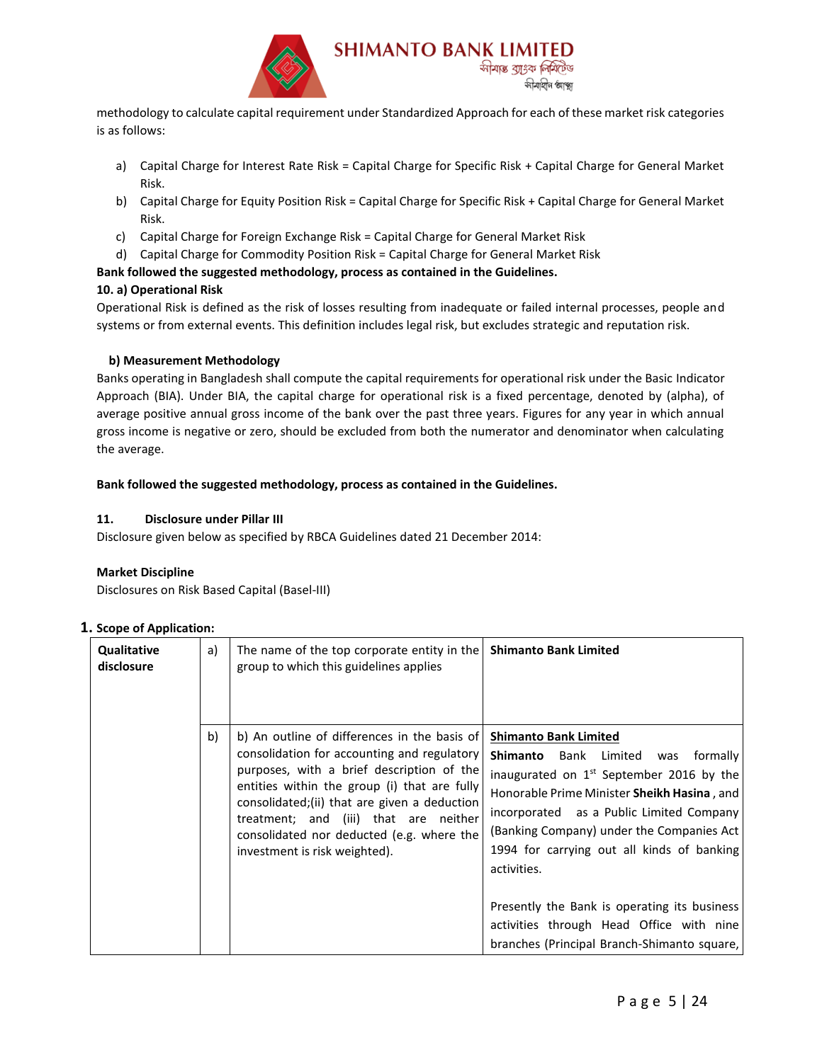

methodology to calculate capital requirement under Standardized Approach for each of these market risk categories is as follows:

- a) Capital Charge for Interest Rate Risk = Capital Charge for Specific Risk + Capital Charge for General Market Risk.
- b) Capital Charge for Equity Position Risk = Capital Charge for Specific Risk + Capital Charge for General Market Risk.
- c) Capital Charge for Foreign Exchange Risk = Capital Charge for General Market Risk
- d) Capital Charge for Commodity Position Risk = Capital Charge for General Market Risk

#### **Bank followed the suggested methodology, process as contained in the Guidelines.**

#### **10. a) Operational Risk**

Operational Risk is defined as the risk of losses resulting from inadequate or failed internal processes, people and systems or from external events. This definition includes legal risk, but excludes strategic and reputation risk.

#### **b) Measurement Methodology**

Banks operating in Bangladesh shall compute the capital requirements for operational risk under the Basic Indicator Approach (BIA). Under BIA, the capital charge for operational risk is a fixed percentage, denoted by (alpha), of average positive annual gross income of the bank over the past three years. Figures for any year in which annual gross income is negative or zero, should be excluded from both the numerator and denominator when calculating the average.

#### **Bank followed the suggested methodology, process as contained in the Guidelines.**

#### **11. Disclosure under Pillar III**

Disclosure given below as specified by RBCA Guidelines dated 21 December 2014:

#### **Market Discipline**

Disclosures on Risk Based Capital (Basel-III)

#### **1. Scope of Application:**

| Qualitative<br>disclosure | a) | The name of the top corporate entity in the<br>group to which this guidelines applies                                                                                                                                                                                                                                                                           | <b>Shimanto Bank Limited</b>                                                                                                                                                                                                                                                                                                                                                                                                                                           |
|---------------------------|----|-----------------------------------------------------------------------------------------------------------------------------------------------------------------------------------------------------------------------------------------------------------------------------------------------------------------------------------------------------------------|------------------------------------------------------------------------------------------------------------------------------------------------------------------------------------------------------------------------------------------------------------------------------------------------------------------------------------------------------------------------------------------------------------------------------------------------------------------------|
|                           | b) | b) An outline of differences in the basis of<br>consolidation for accounting and regulatory<br>purposes, with a brief description of the<br>entities within the group (i) that are fully<br>consolidated;(ii) that are given a deduction<br>treatment; and (iii) that are neither<br>consolidated nor deducted (e.g. where the<br>investment is risk weighted). | <b>Shimanto Bank Limited</b><br>Shimanto<br>Bank Limited was<br>formally<br>inaugurated on $1st$ September 2016 by the<br>Honorable Prime Minister Sheikh Hasina, and<br>incorporated as a Public Limited Company<br>(Banking Company) under the Companies Act<br>1994 for carrying out all kinds of banking<br>activities.<br>Presently the Bank is operating its business<br>activities through Head Office with nine<br>branches (Principal Branch-Shimanto square, |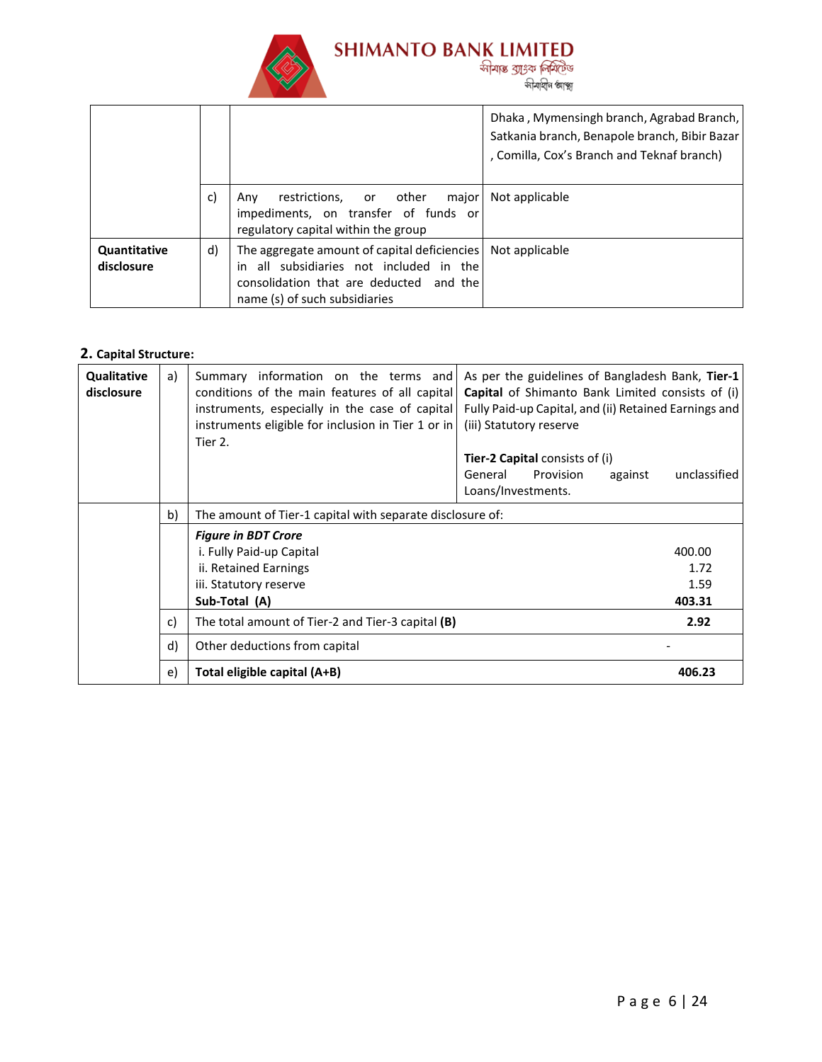

|                            |    |                                                                                                                                                                     | Dhaka, Mymensingh branch, Agrabad Branch,<br>Satkania branch, Benapole branch, Bibir Bazar<br>, Comilla, Cox's Branch and Teknaf branch) |
|----------------------------|----|---------------------------------------------------------------------------------------------------------------------------------------------------------------------|------------------------------------------------------------------------------------------------------------------------------------------|
|                            | c) | restrictions, or other<br>major<br>Anv<br>impediments, on transfer of funds or<br>regulatory capital within the group                                               | Not applicable                                                                                                                           |
| Quantitative<br>disclosure | d) | The aggregate amount of capital deficiencies<br>in all subsidiaries not included in the<br>consolidation that are deducted and the<br>name (s) of such subsidiaries | Not applicable                                                                                                                           |

# **2. Capital Structure:**

| Qualitative<br>disclosure | a) | Summary information on the terms and<br>conditions of the main features of all capital<br>instruments, especially in the case of capital<br>instruments eligible for inclusion in Tier 1 or in<br>Tier 2. | As per the guidelines of Bangladesh Bank, Tier-1<br>Capital of Shimanto Bank Limited consists of (i)<br>Fully Paid-up Capital, and (ii) Retained Earnings and<br>(iii) Statutory reserve<br><b>Tier-2 Capital consists of (i)</b><br>unclassified<br>General<br>Provision<br>against<br>Loans/Investments. |  |  |  |
|---------------------------|----|-----------------------------------------------------------------------------------------------------------------------------------------------------------------------------------------------------------|------------------------------------------------------------------------------------------------------------------------------------------------------------------------------------------------------------------------------------------------------------------------------------------------------------|--|--|--|
|                           | b) | The amount of Tier-1 capital with separate disclosure of:                                                                                                                                                 |                                                                                                                                                                                                                                                                                                            |  |  |  |
|                           |    | <b>Figure in BDT Crore</b>                                                                                                                                                                                |                                                                                                                                                                                                                                                                                                            |  |  |  |
|                           |    | i. Fully Paid-up Capital                                                                                                                                                                                  | 400.00                                                                                                                                                                                                                                                                                                     |  |  |  |
|                           |    | ii. Retained Earnings                                                                                                                                                                                     | 1.72                                                                                                                                                                                                                                                                                                       |  |  |  |
|                           |    | iii. Statutory reserve                                                                                                                                                                                    | 1.59                                                                                                                                                                                                                                                                                                       |  |  |  |
|                           |    | Sub-Total (A)                                                                                                                                                                                             | 403.31                                                                                                                                                                                                                                                                                                     |  |  |  |
|                           | c) | The total amount of Tier-2 and Tier-3 capital (B)                                                                                                                                                         | 2.92                                                                                                                                                                                                                                                                                                       |  |  |  |
|                           | d) | Other deductions from capital                                                                                                                                                                             |                                                                                                                                                                                                                                                                                                            |  |  |  |
|                           | e) | Total eligible capital (A+B)                                                                                                                                                                              | 406.23                                                                                                                                                                                                                                                                                                     |  |  |  |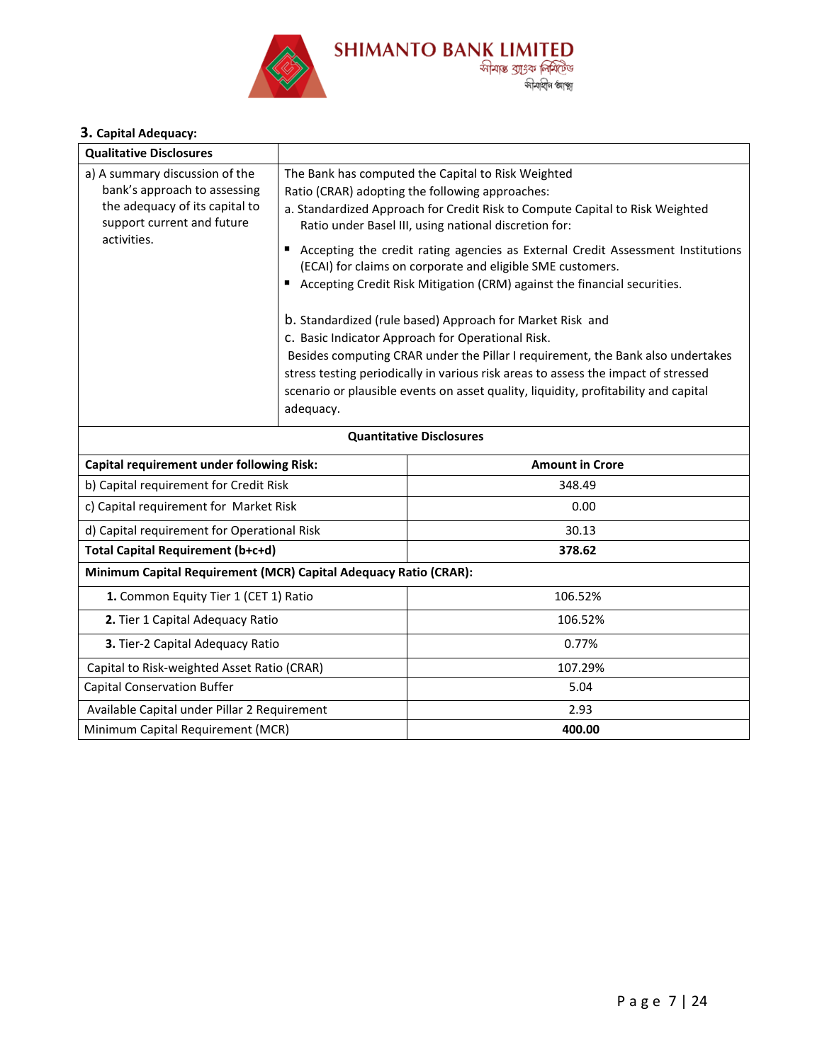

# **3. Capital Adequacy:**

| <b>Qualitative Disclosures</b>                                                                                                                |                |                                                                                                                                                                                                                                                                                                                                                                                                                                                                                                                                                                                                                                                                                                                                                                                                                                                               |  |  |  |
|-----------------------------------------------------------------------------------------------------------------------------------------------|----------------|---------------------------------------------------------------------------------------------------------------------------------------------------------------------------------------------------------------------------------------------------------------------------------------------------------------------------------------------------------------------------------------------------------------------------------------------------------------------------------------------------------------------------------------------------------------------------------------------------------------------------------------------------------------------------------------------------------------------------------------------------------------------------------------------------------------------------------------------------------------|--|--|--|
| a) A summary discussion of the<br>bank's approach to assessing<br>the adequacy of its capital to<br>support current and future<br>activities. | п<br>adequacy. | The Bank has computed the Capital to Risk Weighted<br>Ratio (CRAR) adopting the following approaches:<br>a. Standardized Approach for Credit Risk to Compute Capital to Risk Weighted<br>Ratio under Basel III, using national discretion for:<br>Accepting the credit rating agencies as External Credit Assessment Institutions<br>(ECAI) for claims on corporate and eligible SME customers.<br>Accepting Credit Risk Mitigation (CRM) against the financial securities.<br>b. Standardized (rule based) Approach for Market Risk and<br>C. Basic Indicator Approach for Operational Risk.<br>Besides computing CRAR under the Pillar I requirement, the Bank also undertakes<br>stress testing periodically in various risk areas to assess the impact of stressed<br>scenario or plausible events on asset quality, liquidity, profitability and capital |  |  |  |
| <b>Quantitative Disclosures</b>                                                                                                               |                |                                                                                                                                                                                                                                                                                                                                                                                                                                                                                                                                                                                                                                                                                                                                                                                                                                                               |  |  |  |
|                                                                                                                                               |                |                                                                                                                                                                                                                                                                                                                                                                                                                                                                                                                                                                                                                                                                                                                                                                                                                                                               |  |  |  |
| <b>Capital requirement under following Risk:</b>                                                                                              |                | <b>Amount in Crore</b>                                                                                                                                                                                                                                                                                                                                                                                                                                                                                                                                                                                                                                                                                                                                                                                                                                        |  |  |  |
| b) Capital requirement for Credit Risk                                                                                                        |                | 348.49                                                                                                                                                                                                                                                                                                                                                                                                                                                                                                                                                                                                                                                                                                                                                                                                                                                        |  |  |  |
| c) Capital requirement for Market Risk                                                                                                        |                | 0.00                                                                                                                                                                                                                                                                                                                                                                                                                                                                                                                                                                                                                                                                                                                                                                                                                                                          |  |  |  |
| d) Capital requirement for Operational Risk                                                                                                   |                | 30.13                                                                                                                                                                                                                                                                                                                                                                                                                                                                                                                                                                                                                                                                                                                                                                                                                                                         |  |  |  |
| Total Capital Requirement (b+c+d)                                                                                                             |                | 378.62                                                                                                                                                                                                                                                                                                                                                                                                                                                                                                                                                                                                                                                                                                                                                                                                                                                        |  |  |  |
| Minimum Capital Requirement (MCR) Capital Adequacy Ratio (CRAR):                                                                              |                |                                                                                                                                                                                                                                                                                                                                                                                                                                                                                                                                                                                                                                                                                                                                                                                                                                                               |  |  |  |
| 1. Common Equity Tier 1 (CET 1) Ratio                                                                                                         |                | 106.52%                                                                                                                                                                                                                                                                                                                                                                                                                                                                                                                                                                                                                                                                                                                                                                                                                                                       |  |  |  |
| 2. Tier 1 Capital Adequacy Ratio                                                                                                              |                | 106.52%                                                                                                                                                                                                                                                                                                                                                                                                                                                                                                                                                                                                                                                                                                                                                                                                                                                       |  |  |  |
| 3. Tier-2 Capital Adequacy Ratio                                                                                                              |                | 0.77%                                                                                                                                                                                                                                                                                                                                                                                                                                                                                                                                                                                                                                                                                                                                                                                                                                                         |  |  |  |
| Capital to Risk-weighted Asset Ratio (CRAR)                                                                                                   |                | 107.29%                                                                                                                                                                                                                                                                                                                                                                                                                                                                                                                                                                                                                                                                                                                                                                                                                                                       |  |  |  |
| <b>Capital Conservation Buffer</b>                                                                                                            |                | 5.04                                                                                                                                                                                                                                                                                                                                                                                                                                                                                                                                                                                                                                                                                                                                                                                                                                                          |  |  |  |
| Available Capital under Pillar 2 Requirement                                                                                                  |                | 2.93                                                                                                                                                                                                                                                                                                                                                                                                                                                                                                                                                                                                                                                                                                                                                                                                                                                          |  |  |  |
| Minimum Capital Requirement (MCR)                                                                                                             |                | 400.00                                                                                                                                                                                                                                                                                                                                                                                                                                                                                                                                                                                                                                                                                                                                                                                                                                                        |  |  |  |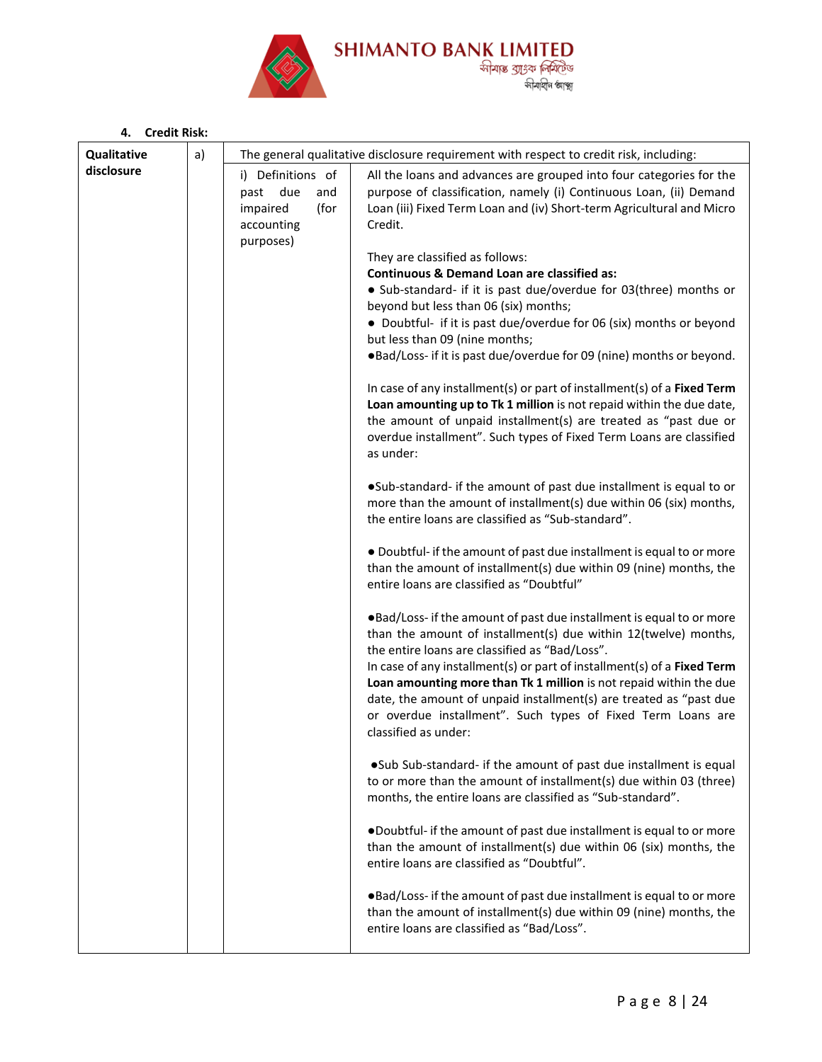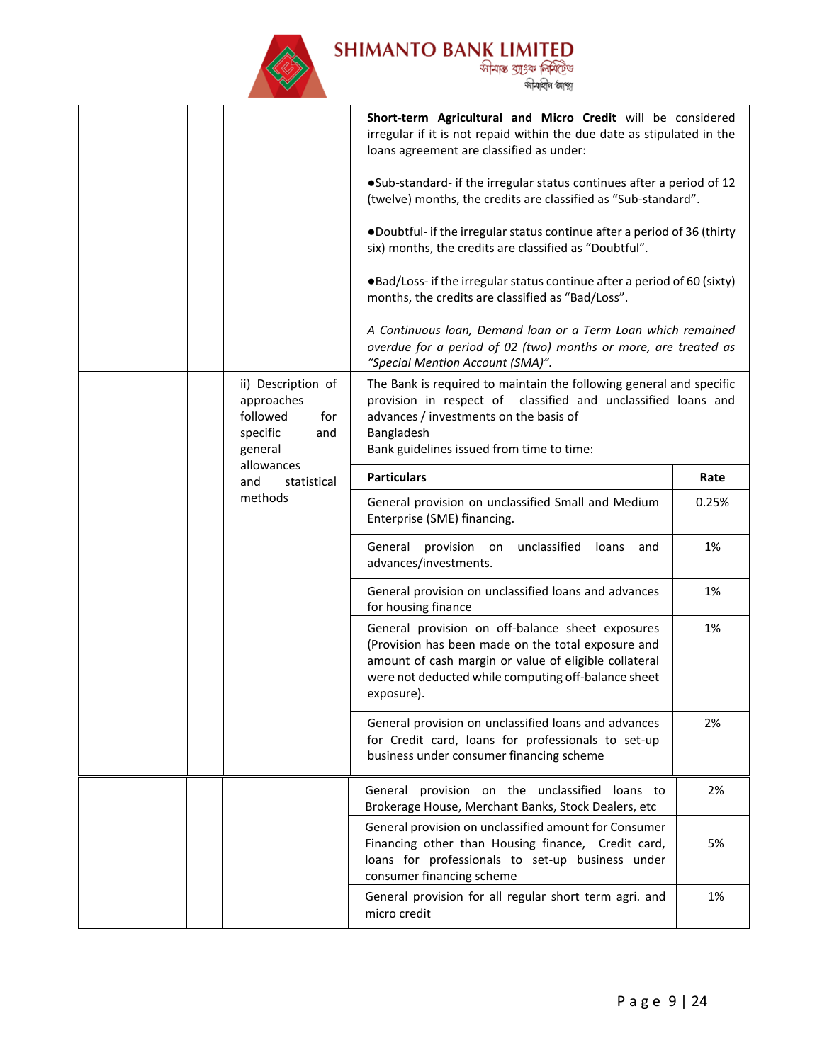

|                                                                                                                                  |                                                                                                                                                                                                                                           |                                                                                                                                                                                                                                      | Short-term Agricultural and Micro Credit will be considered<br>irregular if it is not repaid within the due date as stipulated in the<br>loans agreement are classified as under: |    |
|----------------------------------------------------------------------------------------------------------------------------------|-------------------------------------------------------------------------------------------------------------------------------------------------------------------------------------------------------------------------------------------|--------------------------------------------------------------------------------------------------------------------------------------------------------------------------------------------------------------------------------------|-----------------------------------------------------------------------------------------------------------------------------------------------------------------------------------|----|
|                                                                                                                                  | •Sub-standard- if the irregular status continues after a period of 12<br>(twelve) months, the credits are classified as "Sub-standard".                                                                                                   |                                                                                                                                                                                                                                      |                                                                                                                                                                                   |    |
|                                                                                                                                  | .Doubtful- if the irregular status continue after a period of 36 (thirty<br>six) months, the credits are classified as "Doubtful".                                                                                                        |                                                                                                                                                                                                                                      |                                                                                                                                                                                   |    |
|                                                                                                                                  | •Bad/Loss- if the irregular status continue after a period of 60 (sixty)<br>months, the credits are classified as "Bad/Loss".                                                                                                             |                                                                                                                                                                                                                                      |                                                                                                                                                                                   |    |
|                                                                                                                                  |                                                                                                                                                                                                                                           |                                                                                                                                                                                                                                      | A Continuous loan, Demand loan or a Term Loan which remained<br>overdue for a period of 02 (two) months or more, are treated as<br>"Special Mention Account (SMA)".               |    |
| ii) Description of<br>approaches<br>followed<br>for<br>specific<br>and<br>general<br>allowances<br>and<br>statistical<br>methods | The Bank is required to maintain the following general and specific<br>provision in respect of classified and unclassified loans and<br>advances / investments on the basis of<br>Bangladesh<br>Bank guidelines issued from time to time: |                                                                                                                                                                                                                                      |                                                                                                                                                                                   |    |
|                                                                                                                                  | <b>Particulars</b>                                                                                                                                                                                                                        | Rate                                                                                                                                                                                                                                 |                                                                                                                                                                                   |    |
|                                                                                                                                  | General provision on unclassified Small and Medium<br>Enterprise (SME) financing.                                                                                                                                                         | 0.25%                                                                                                                                                                                                                                |                                                                                                                                                                                   |    |
|                                                                                                                                  |                                                                                                                                                                                                                                           | unclassified<br>General<br>provision<br>on<br>loans<br>and<br>advances/investments.                                                                                                                                                  | 1%                                                                                                                                                                                |    |
|                                                                                                                                  |                                                                                                                                                                                                                                           |                                                                                                                                                                                                                                      | General provision on unclassified loans and advances<br>for housing finance                                                                                                       | 1% |
|                                                                                                                                  |                                                                                                                                                                                                                                           | General provision on off-balance sheet exposures<br>(Provision has been made on the total exposure and<br>amount of cash margin or value of eligible collateral<br>were not deducted while computing off-balance sheet<br>exposure). | 1%                                                                                                                                                                                |    |
|                                                                                                                                  |                                                                                                                                                                                                                                           |                                                                                                                                                                                                                                      | General provision on unclassified loans and advances<br>for Credit card, loans for professionals to set-up<br>business under consumer financing scheme                            | 2% |
|                                                                                                                                  |                                                                                                                                                                                                                                           |                                                                                                                                                                                                                                      | General provision on the unclassified loans to<br>Brokerage House, Merchant Banks, Stock Dealers, etc                                                                             | 2% |
|                                                                                                                                  | General provision on unclassified amount for Consumer<br>Financing other than Housing finance, Credit card,<br>loans for professionals to set-up business under<br>consumer financing scheme                                              | 5%                                                                                                                                                                                                                                   |                                                                                                                                                                                   |    |
|                                                                                                                                  |                                                                                                                                                                                                                                           |                                                                                                                                                                                                                                      | General provision for all regular short term agri. and<br>micro credit                                                                                                            | 1% |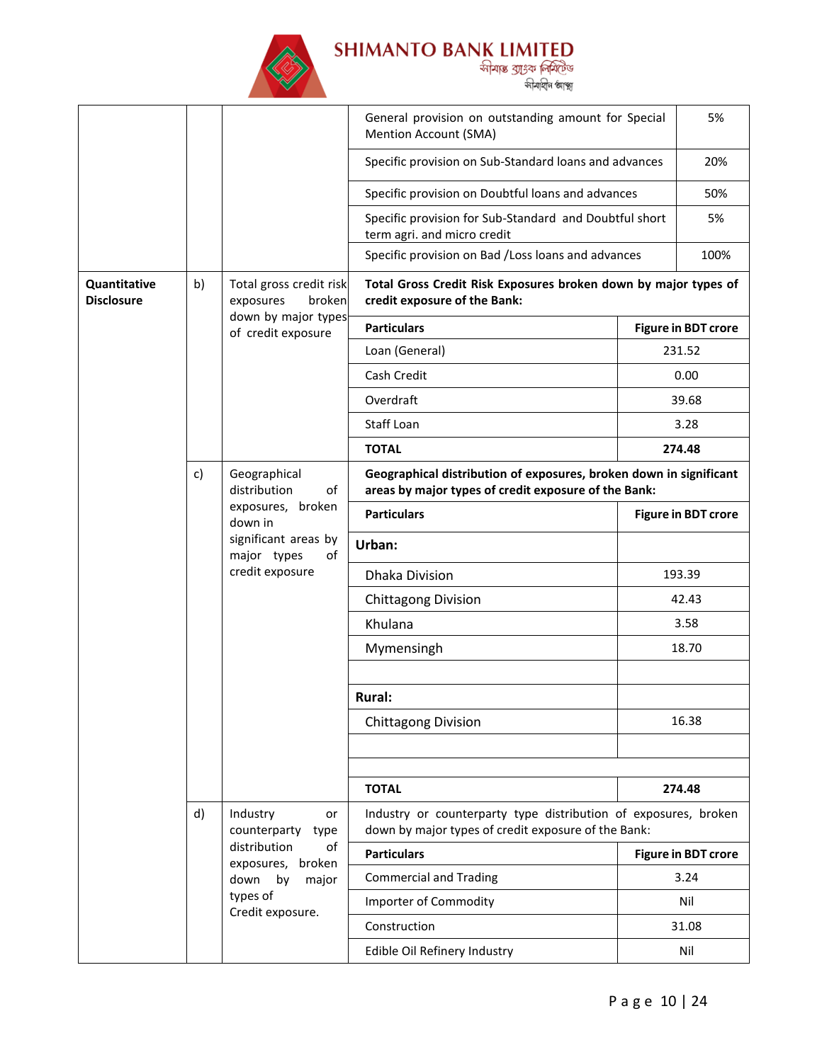

|                                                              |                            |                                                                                                                            | General provision on outstanding amount for Special<br>Mention Account (SMA)                                           |                            | 5%                         |
|--------------------------------------------------------------|----------------------------|----------------------------------------------------------------------------------------------------------------------------|------------------------------------------------------------------------------------------------------------------------|----------------------------|----------------------------|
|                                                              |                            |                                                                                                                            | Specific provision on Sub-Standard loans and advances                                                                  |                            | 20%                        |
|                                                              |                            |                                                                                                                            | Specific provision on Doubtful loans and advances                                                                      |                            | 50%                        |
|                                                              |                            |                                                                                                                            | Specific provision for Sub-Standard and Doubtful short<br>term agri. and micro credit                                  |                            | 5%                         |
|                                                              |                            |                                                                                                                            | Specific provision on Bad /Loss loans and advances                                                                     |                            | 100%                       |
| Quantitative<br>b)<br><b>Disclosure</b>                      |                            | Total gross credit risk<br>exposures<br>broken                                                                             | Total Gross Credit Risk Exposures broken down by major types of<br>credit exposure of the Bank:                        |                            |                            |
|                                                              |                            | down by major types<br>of credit exposure                                                                                  | <b>Particulars</b>                                                                                                     |                            | <b>Figure in BDT crore</b> |
|                                                              |                            |                                                                                                                            | Loan (General)                                                                                                         |                            | 231.52                     |
|                                                              |                            |                                                                                                                            | Cash Credit                                                                                                            |                            | 0.00                       |
|                                                              |                            |                                                                                                                            | Overdraft                                                                                                              |                            | 39.68                      |
|                                                              |                            |                                                                                                                            | Staff Loan                                                                                                             |                            | 3.28                       |
|                                                              |                            | <b>TOTAL</b>                                                                                                               |                                                                                                                        | 274.48                     |                            |
| c)<br>Geographical<br>distribution<br>down in<br>major types | of                         | Geographical distribution of exposures, broken down in significant<br>areas by major types of credit exposure of the Bank: |                                                                                                                        |                            |                            |
|                                                              |                            | exposures, broken                                                                                                          | <b>Particulars</b>                                                                                                     | <b>Figure in BDT crore</b> |                            |
|                                                              | significant areas by<br>of | Urban:                                                                                                                     |                                                                                                                        |                            |                            |
|                                                              |                            | credit exposure                                                                                                            | <b>Dhaka Division</b>                                                                                                  |                            | 193.39                     |
|                                                              |                            |                                                                                                                            | <b>Chittagong Division</b>                                                                                             |                            | 42.43                      |
|                                                              |                            |                                                                                                                            | Khulana                                                                                                                |                            | 3.58                       |
|                                                              |                            |                                                                                                                            | Mymensingh                                                                                                             |                            | 18.70                      |
|                                                              |                            |                                                                                                                            |                                                                                                                        |                            |                            |
|                                                              |                            |                                                                                                                            | <b>Rural:</b>                                                                                                          |                            |                            |
|                                                              |                            |                                                                                                                            | <b>Chittagong Division</b>                                                                                             |                            | 16.38                      |
|                                                              |                            |                                                                                                                            |                                                                                                                        |                            |                            |
|                                                              |                            |                                                                                                                            |                                                                                                                        |                            |                            |
|                                                              |                            |                                                                                                                            | <b>TOTAL</b>                                                                                                           |                            | 274.48                     |
|                                                              | d)                         | Industry<br>or<br>counterparty<br>type                                                                                     | Industry or counterparty type distribution of exposures, broken<br>down by major types of credit exposure of the Bank: |                            |                            |
|                                                              |                            | distribution<br>оf<br>broken<br>exposures,                                                                                 | <b>Particulars</b>                                                                                                     |                            | <b>Figure in BDT crore</b> |
|                                                              |                            | down<br>by<br>major                                                                                                        | <b>Commercial and Trading</b>                                                                                          |                            | 3.24                       |
|                                                              |                            | types of<br>Credit exposure.                                                                                               | Importer of Commodity                                                                                                  |                            | Nil                        |
|                                                              |                            |                                                                                                                            | Construction                                                                                                           |                            | 31.08                      |
|                                                              |                            |                                                                                                                            | Edible Oil Refinery Industry                                                                                           |                            | Nil                        |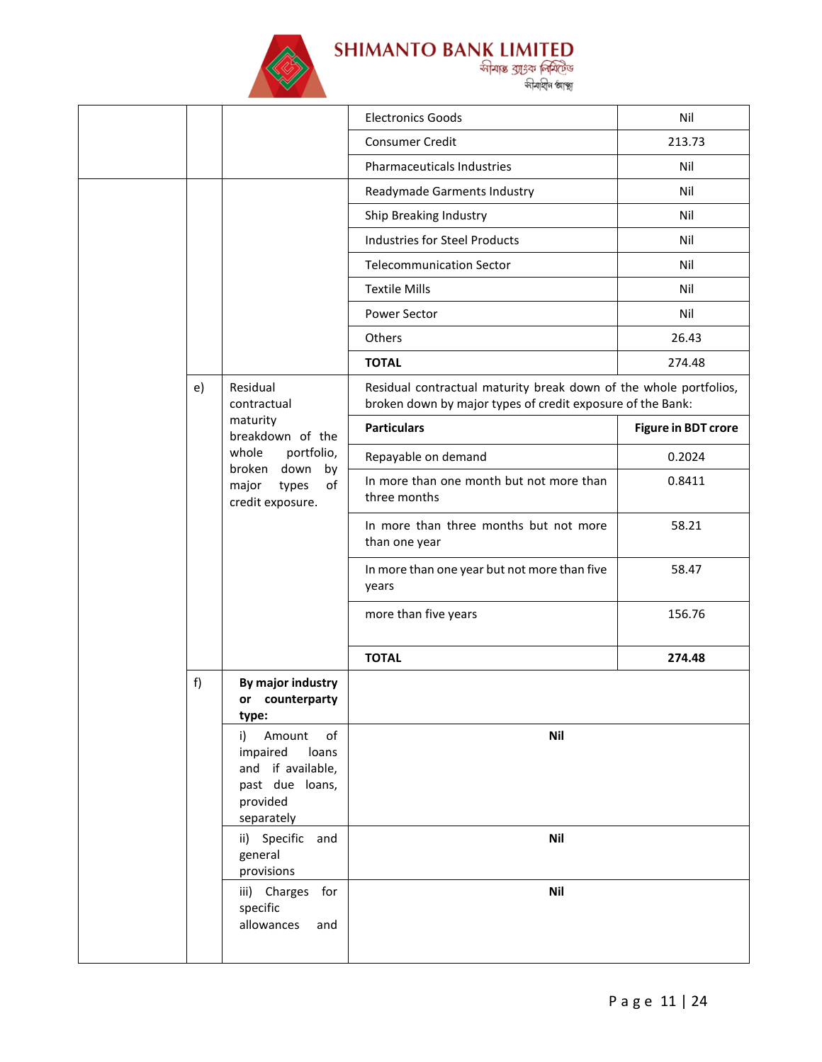

|  |                                                               |                                                                                                           | <b>Electronics Goods</b>                                                                                                        | Nil                        |
|--|---------------------------------------------------------------|-----------------------------------------------------------------------------------------------------------|---------------------------------------------------------------------------------------------------------------------------------|----------------------------|
|  |                                                               |                                                                                                           | <b>Consumer Credit</b>                                                                                                          | 213.73                     |
|  |                                                               |                                                                                                           | Pharmaceuticals Industries                                                                                                      | Nil                        |
|  |                                                               |                                                                                                           | Readymade Garments Industry                                                                                                     | Nil                        |
|  |                                                               |                                                                                                           | Ship Breaking Industry                                                                                                          | Nil                        |
|  |                                                               |                                                                                                           | <b>Industries for Steel Products</b>                                                                                            | Nil                        |
|  |                                                               |                                                                                                           | <b>Telecommunication Sector</b>                                                                                                 | Nil                        |
|  |                                                               |                                                                                                           | <b>Textile Mills</b>                                                                                                            | Nil                        |
|  |                                                               |                                                                                                           | Power Sector                                                                                                                    | Nil                        |
|  |                                                               |                                                                                                           | Others                                                                                                                          | 26.43                      |
|  |                                                               |                                                                                                           | <b>TOTAL</b>                                                                                                                    | 274.48                     |
|  | e)                                                            | Residual<br>contractual                                                                                   | Residual contractual maturity break down of the whole portfolios,<br>broken down by major types of credit exposure of the Bank: |                            |
|  |                                                               | maturity<br>breakdown of the                                                                              | <b>Particulars</b>                                                                                                              | <b>Figure in BDT crore</b> |
|  |                                                               | portfolio,<br>whole                                                                                       | Repayable on demand                                                                                                             | 0.2024                     |
|  | broken down<br>by<br>of<br>major<br>types<br>credit exposure. |                                                                                                           | In more than one month but not more than<br>three months                                                                        | 0.8411                     |
|  |                                                               |                                                                                                           | In more than three months but not more<br>than one year                                                                         | 58.21                      |
|  |                                                               |                                                                                                           | In more than one year but not more than five<br>years                                                                           | 58.47                      |
|  |                                                               |                                                                                                           | more than five years                                                                                                            | 156.76                     |
|  |                                                               |                                                                                                           | <b>TOTAL</b>                                                                                                                    | 274.48                     |
|  | f)                                                            | By major industry<br>or counterparty<br>type:                                                             |                                                                                                                                 |                            |
|  |                                                               | Amount<br>of<br>i)<br>impaired<br>loans<br>and if available,<br>past due loans,<br>provided<br>separately | <b>Nil</b>                                                                                                                      |                            |
|  |                                                               | ii) Specific and<br>general<br>provisions                                                                 | <b>Nil</b>                                                                                                                      |                            |
|  |                                                               | iii) Charges for<br>specific<br>allowances<br>and                                                         | Nil                                                                                                                             |                            |
|  |                                                               |                                                                                                           |                                                                                                                                 |                            |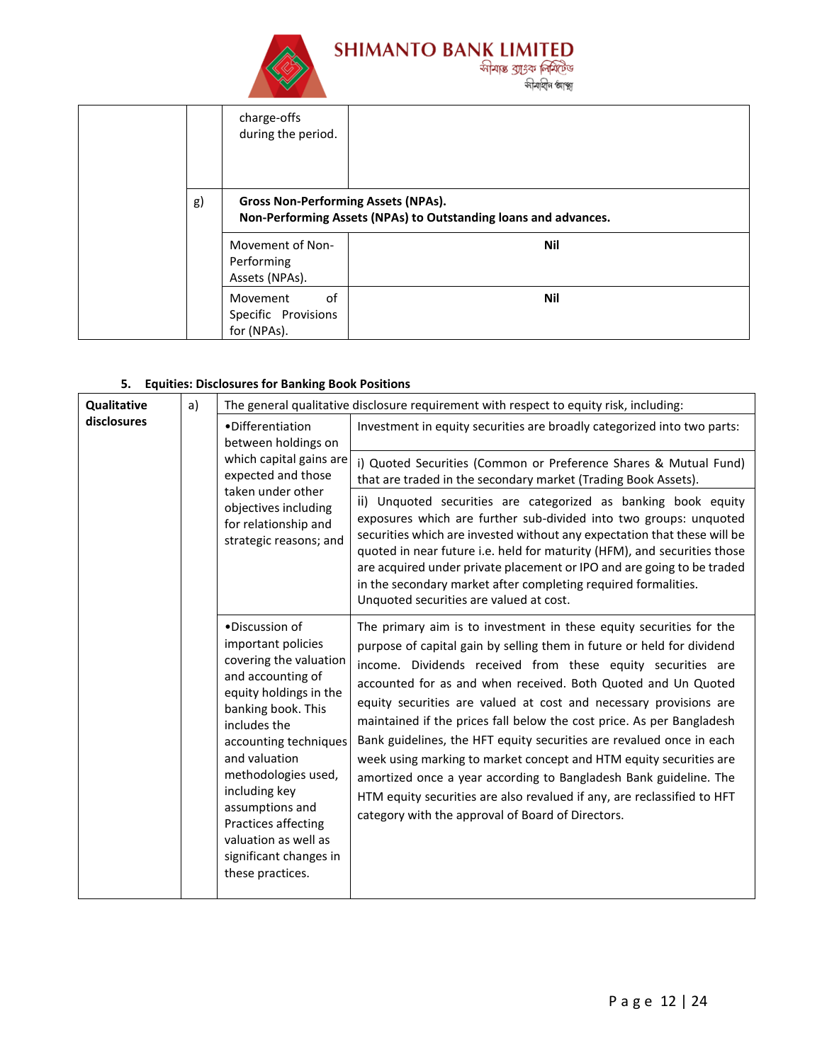

|    | charge-offs<br>during the period.                                                                             |     |
|----|---------------------------------------------------------------------------------------------------------------|-----|
| g) | <b>Gross Non-Performing Assets (NPAs).</b><br>Non-Performing Assets (NPAs) to Outstanding loans and advances. |     |
|    | Movement of Non-<br>Performing<br>Assets (NPAs).                                                              | Nil |
|    | of<br>Movement<br>Specific Provisions<br>for (NPAs).                                                          | Nil |

# **5. Equities: Disclosures for Banking Book Positions**

| Qualitative | a)<br>•Differentiation<br>between holdings on<br>which capital gains are<br>expected and those<br>taken under other<br>objectives including<br>for relationship and<br>strategic reasons; and<br>•Discussion of<br>important policies<br>covering the valuation<br>and accounting of<br>equity holdings in the<br>banking book. This<br>includes the<br>accounting techniques<br>and valuation<br>methodologies used,<br>including key<br>assumptions and<br>Practices affecting<br>valuation as well as<br>significant changes in<br>these practices. | The general qualitative disclosure requirement with respect to equity risk, including: |                                                                                                                                                                                                                                                                                                                                                                                                                                                                                                                                                                                                                                                                                                                                                                                |
|-------------|--------------------------------------------------------------------------------------------------------------------------------------------------------------------------------------------------------------------------------------------------------------------------------------------------------------------------------------------------------------------------------------------------------------------------------------------------------------------------------------------------------------------------------------------------------|----------------------------------------------------------------------------------------|--------------------------------------------------------------------------------------------------------------------------------------------------------------------------------------------------------------------------------------------------------------------------------------------------------------------------------------------------------------------------------------------------------------------------------------------------------------------------------------------------------------------------------------------------------------------------------------------------------------------------------------------------------------------------------------------------------------------------------------------------------------------------------|
| disclosures |                                                                                                                                                                                                                                                                                                                                                                                                                                                                                                                                                        |                                                                                        | Investment in equity securities are broadly categorized into two parts:                                                                                                                                                                                                                                                                                                                                                                                                                                                                                                                                                                                                                                                                                                        |
|             |                                                                                                                                                                                                                                                                                                                                                                                                                                                                                                                                                        |                                                                                        | i) Quoted Securities (Common or Preference Shares & Mutual Fund)<br>that are traded in the secondary market (Trading Book Assets).                                                                                                                                                                                                                                                                                                                                                                                                                                                                                                                                                                                                                                             |
|             |                                                                                                                                                                                                                                                                                                                                                                                                                                                                                                                                                        |                                                                                        | ii) Unquoted securities are categorized as banking book equity<br>exposures which are further sub-divided into two groups: unquoted<br>securities which are invested without any expectation that these will be<br>quoted in near future i.e. held for maturity (HFM), and securities those<br>are acquired under private placement or IPO and are going to be traded<br>in the secondary market after completing required formalities.<br>Unquoted securities are valued at cost.                                                                                                                                                                                                                                                                                             |
|             |                                                                                                                                                                                                                                                                                                                                                                                                                                                                                                                                                        |                                                                                        | The primary aim is to investment in these equity securities for the<br>purpose of capital gain by selling them in future or held for dividend<br>income. Dividends received from these equity securities are<br>accounted for as and when received. Both Quoted and Un Quoted<br>equity securities are valued at cost and necessary provisions are<br>maintained if the prices fall below the cost price. As per Bangladesh<br>Bank guidelines, the HFT equity securities are revalued once in each<br>week using marking to market concept and HTM equity securities are<br>amortized once a year according to Bangladesh Bank guideline. The<br>HTM equity securities are also revalued if any, are reclassified to HFT<br>category with the approval of Board of Directors. |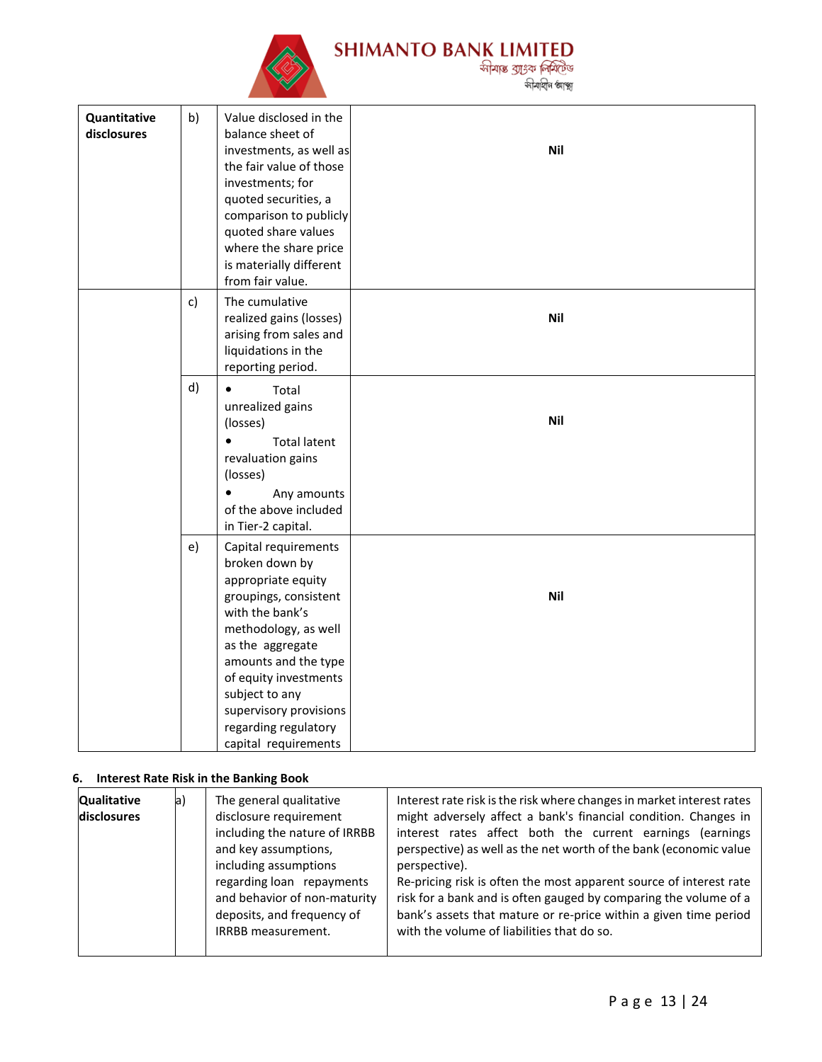

| Quantitative<br>disclosures | b) | Value disclosed in the<br>balance sheet of<br>investments, as well as<br>the fair value of those<br>investments; for<br>quoted securities, a<br>comparison to publicly<br>quoted share values<br>where the share price<br>is materially different<br>from fair value.                             | <b>Nil</b> |
|-----------------------------|----|---------------------------------------------------------------------------------------------------------------------------------------------------------------------------------------------------------------------------------------------------------------------------------------------------|------------|
|                             | c) | The cumulative<br>realized gains (losses)<br>arising from sales and<br>liquidations in the<br>reporting period.                                                                                                                                                                                   | Nil        |
|                             | d) | $\bullet$<br>Total<br>unrealized gains<br>(losses)<br><b>Total latent</b><br>$\bullet$<br>revaluation gains<br>(losses)<br>Any amounts<br>$\bullet$<br>of the above included<br>in Tier-2 capital.                                                                                                | <b>Nil</b> |
|                             | e) | Capital requirements<br>broken down by<br>appropriate equity<br>groupings, consistent<br>with the bank's<br>methodology, as well<br>as the aggregate<br>amounts and the type<br>of equity investments<br>subject to any<br>supervisory provisions<br>regarding regulatory<br>capital requirements | <b>Nil</b> |

# **6. Interest Rate Risk in the Banking Book**

| Interest rate risk is the risk where changes in market interest rates<br><b>Qualitative</b><br>a)<br>The general qualitative<br>disclosure requirement<br>might adversely affect a bank's financial condition. Changes in<br>disclosures<br>including the nature of IRRBB<br>interest rates affect both the current earnings<br>and key assumptions,<br>perspective) as well as the net worth of the bank (economic value<br>including assumptions<br>perspective).<br>Re-pricing risk is often the most apparent source of interest rate<br>regarding loan repayments<br>and behavior of non-maturity<br>risk for a bank and is often gauged by comparing the volume of a<br>deposits, and frequency of<br>bank's assets that mature or re-price within a given time period<br>with the volume of liabilities that do so.<br><b>IRRBB</b> measurement. | <i>(earnings)</i> |
|---------------------------------------------------------------------------------------------------------------------------------------------------------------------------------------------------------------------------------------------------------------------------------------------------------------------------------------------------------------------------------------------------------------------------------------------------------------------------------------------------------------------------------------------------------------------------------------------------------------------------------------------------------------------------------------------------------------------------------------------------------------------------------------------------------------------------------------------------------|-------------------|
|---------------------------------------------------------------------------------------------------------------------------------------------------------------------------------------------------------------------------------------------------------------------------------------------------------------------------------------------------------------------------------------------------------------------------------------------------------------------------------------------------------------------------------------------------------------------------------------------------------------------------------------------------------------------------------------------------------------------------------------------------------------------------------------------------------------------------------------------------------|-------------------|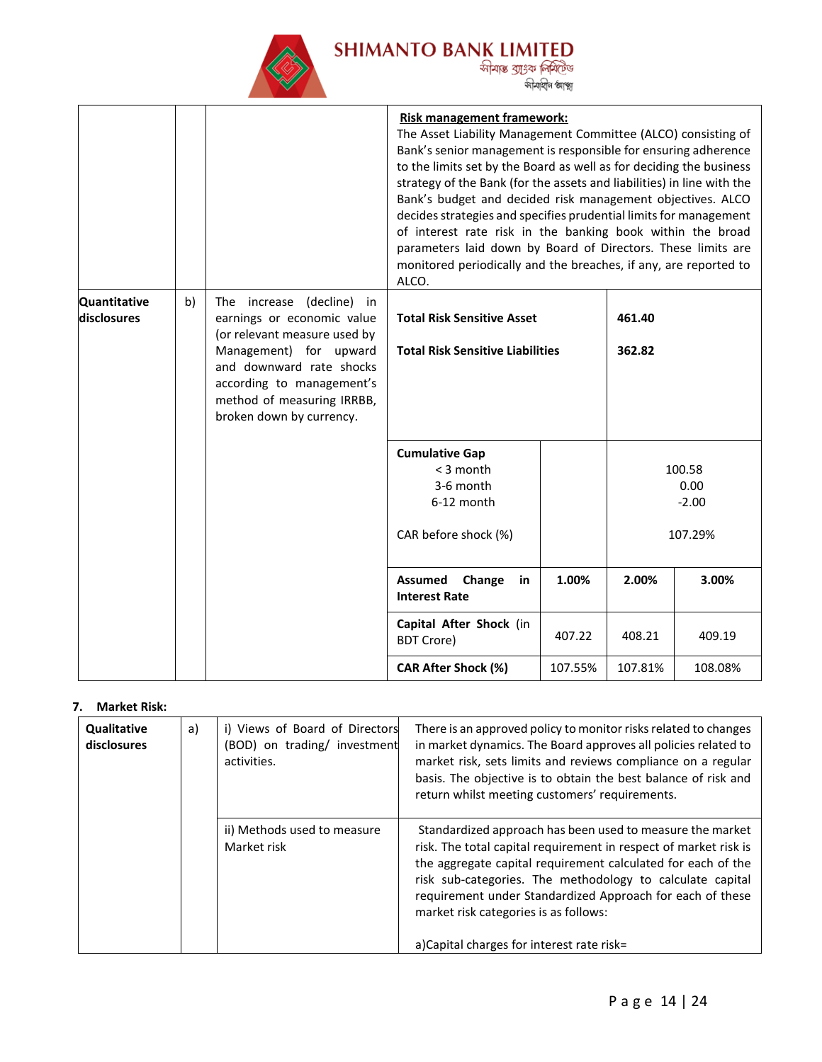

SHIMANTO BANK LIMITED<br>क्षेत्रिक आहेक निर्माणि<br>क्षेत्रिक आंश्रिक आंश्र

|                             |    |                                                                                                                                                                                                                                      | Risk management framework:<br>The Asset Liability Management Committee (ALCO) consisting of<br>Bank's senior management is responsible for ensuring adherence<br>to the limits set by the Board as well as for deciding the business<br>strategy of the Bank (for the assets and liabilities) in line with the<br>Bank's budget and decided risk management objectives. ALCO<br>decides strategies and specifies prudential limits for management<br>of interest rate risk in the banking book within the broad<br>parameters laid down by Board of Directors. These limits are<br>monitored periodically and the breaches, if any, are reported to<br>ALCO. |         |         |         |
|-----------------------------|----|--------------------------------------------------------------------------------------------------------------------------------------------------------------------------------------------------------------------------------------|--------------------------------------------------------------------------------------------------------------------------------------------------------------------------------------------------------------------------------------------------------------------------------------------------------------------------------------------------------------------------------------------------------------------------------------------------------------------------------------------------------------------------------------------------------------------------------------------------------------------------------------------------------------|---------|---------|---------|
| Quantitative<br>disclosures | b) | The increase (decline) in<br>earnings or economic value<br>(or relevant measure used by<br>Management) for upward<br>and downward rate shocks<br>according to management's<br>method of measuring IRRBB,<br>broken down by currency. | <b>Total Risk Sensitive Asset</b><br>461.40<br><b>Total Risk Sensitive Liabilities</b><br>362.82                                                                                                                                                                                                                                                                                                                                                                                                                                                                                                                                                             |         |         |         |
|                             |    |                                                                                                                                                                                                                                      | <b>Cumulative Gap</b><br>< 3 month<br>100.58<br>3-6 month<br>0.00<br>6-12 month<br>$-2.00$<br>CAR before shock (%)<br>107.29%                                                                                                                                                                                                                                                                                                                                                                                                                                                                                                                                |         |         |         |
|                             |    |                                                                                                                                                                                                                                      | <b>Assumed</b><br>Change<br>in<br><b>Interest Rate</b>                                                                                                                                                                                                                                                                                                                                                                                                                                                                                                                                                                                                       | 1.00%   | 2.00%   | 3.00%   |
|                             |    |                                                                                                                                                                                                                                      | Capital After Shock (in<br><b>BDT Crore)</b>                                                                                                                                                                                                                                                                                                                                                                                                                                                                                                                                                                                                                 | 407.22  | 408.21  | 409.19  |
|                             |    |                                                                                                                                                                                                                                      | CAR After Shock (%)                                                                                                                                                                                                                                                                                                                                                                                                                                                                                                                                                                                                                                          | 107.55% | 107.81% | 108.08% |

#### **7. Market Risk:**

| Qualitative<br>disclosures | a) | i) Views of Board of Directors<br>(BOD) on trading/ investment<br>activities. | There is an approved policy to monitor risks related to changes<br>in market dynamics. The Board approves all policies related to<br>market risk, sets limits and reviews compliance on a regular<br>basis. The objective is to obtain the best balance of risk and<br>return whilst meeting customers' requirements.                                                                                         |
|----------------------------|----|-------------------------------------------------------------------------------|---------------------------------------------------------------------------------------------------------------------------------------------------------------------------------------------------------------------------------------------------------------------------------------------------------------------------------------------------------------------------------------------------------------|
|                            |    | ii) Methods used to measure<br>Market risk                                    | Standardized approach has been used to measure the market<br>risk. The total capital requirement in respect of market risk is<br>the aggregate capital requirement calculated for each of the<br>risk sub-categories. The methodology to calculate capital<br>requirement under Standardized Approach for each of these<br>market risk categories is as follows:<br>a)Capital charges for interest rate risk= |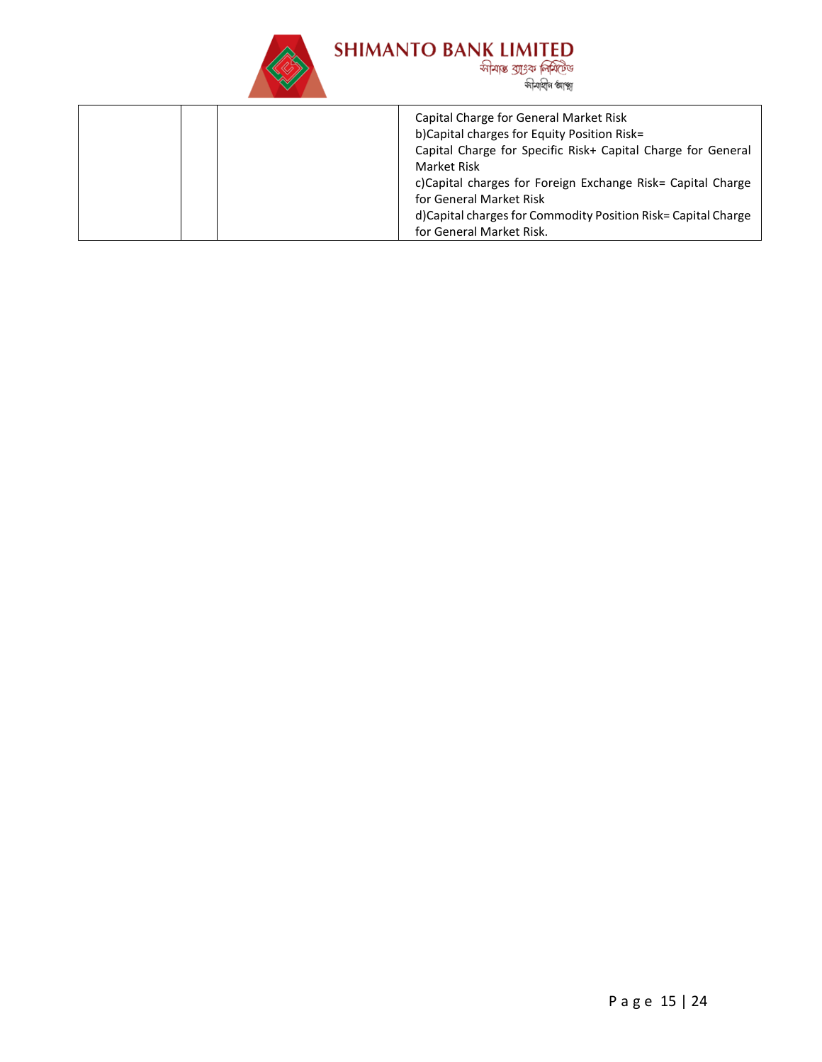

# SHIMANTO BANK LIMITED<br>अप्रिय अप्रहेश क्रियोजिक अनुसार अधिका काश्चा<br>अप्रियाणि काश्च कीयाशिष काश्च

| Capital Charge for General Market Risk                        |
|---------------------------------------------------------------|
| b)Capital charges for Equity Position Risk=                   |
| Capital Charge for Specific Risk+ Capital Charge for General  |
| Market Risk                                                   |
| c)Capital charges for Foreign Exchange Risk= Capital Charge   |
| for General Market Risk                                       |
| d)Capital charges for Commodity Position Risk= Capital Charge |
| for General Market Risk.                                      |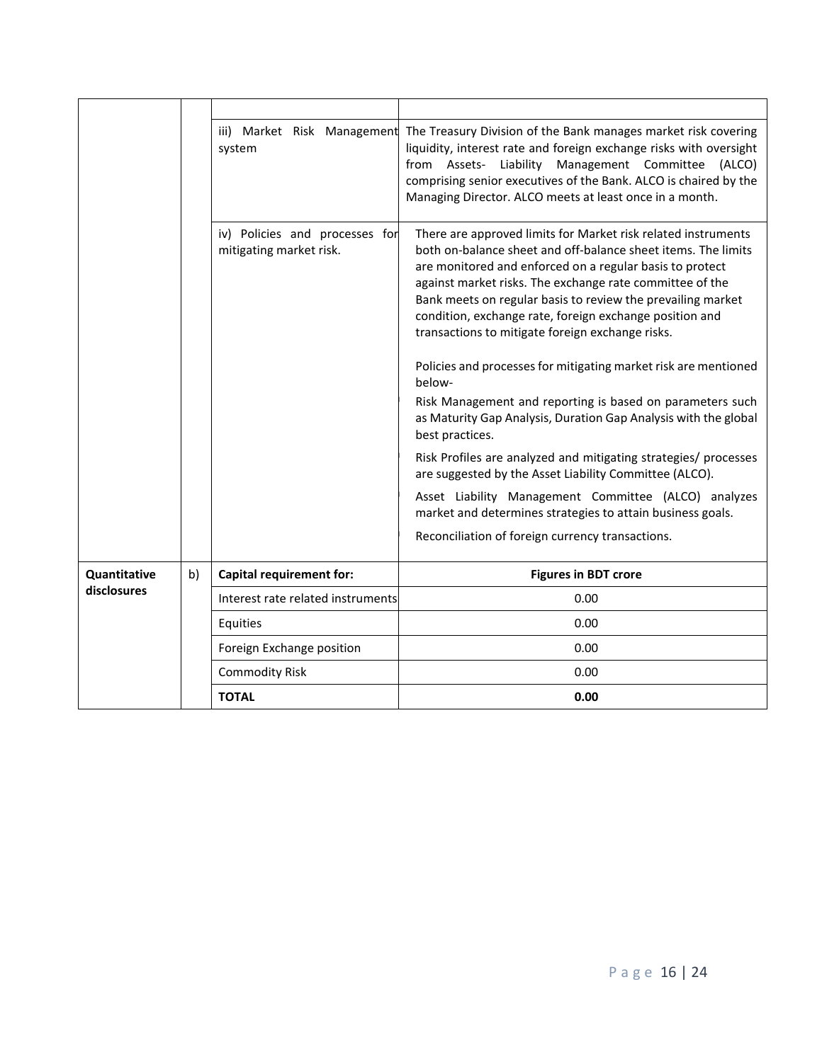|                     |    | iii) Market Risk Management<br>system                     | The Treasury Division of the Bank manages market risk covering<br>liquidity, interest rate and foreign exchange risks with oversight<br>from Assets- Liability Management Committee<br>(ALCO)<br>comprising senior executives of the Bank. ALCO is chaired by the<br>Managing Director. ALCO meets at least once in a month.                                                                                                                                                                                                                                                                                                                                                                                                                                                                                                                                                                                                                                                |
|---------------------|----|-----------------------------------------------------------|-----------------------------------------------------------------------------------------------------------------------------------------------------------------------------------------------------------------------------------------------------------------------------------------------------------------------------------------------------------------------------------------------------------------------------------------------------------------------------------------------------------------------------------------------------------------------------------------------------------------------------------------------------------------------------------------------------------------------------------------------------------------------------------------------------------------------------------------------------------------------------------------------------------------------------------------------------------------------------|
|                     |    | iv) Policies and processes for<br>mitigating market risk. | There are approved limits for Market risk related instruments<br>both on-balance sheet and off-balance sheet items. The limits<br>are monitored and enforced on a regular basis to protect<br>against market risks. The exchange rate committee of the<br>Bank meets on regular basis to review the prevailing market<br>condition, exchange rate, foreign exchange position and<br>transactions to mitigate foreign exchange risks.<br>Policies and processes for mitigating market risk are mentioned<br>below-<br>Risk Management and reporting is based on parameters such<br>as Maturity Gap Analysis, Duration Gap Analysis with the global<br>best practices.<br>Risk Profiles are analyzed and mitigating strategies/ processes<br>are suggested by the Asset Liability Committee (ALCO).<br>Asset Liability Management Committee (ALCO) analyzes<br>market and determines strategies to attain business goals.<br>Reconciliation of foreign currency transactions. |
| <b>Quantitative</b> | b) | <b>Capital requirement for:</b>                           | <b>Figures in BDT crore</b>                                                                                                                                                                                                                                                                                                                                                                                                                                                                                                                                                                                                                                                                                                                                                                                                                                                                                                                                                 |
| disclosures         |    | Interest rate related instruments                         | 0.00                                                                                                                                                                                                                                                                                                                                                                                                                                                                                                                                                                                                                                                                                                                                                                                                                                                                                                                                                                        |
|                     |    | Equities                                                  | 0.00                                                                                                                                                                                                                                                                                                                                                                                                                                                                                                                                                                                                                                                                                                                                                                                                                                                                                                                                                                        |
|                     |    | Foreign Exchange position                                 | 0.00                                                                                                                                                                                                                                                                                                                                                                                                                                                                                                                                                                                                                                                                                                                                                                                                                                                                                                                                                                        |
|                     |    | <b>Commodity Risk</b>                                     | 0.00                                                                                                                                                                                                                                                                                                                                                                                                                                                                                                                                                                                                                                                                                                                                                                                                                                                                                                                                                                        |
|                     |    | <b>TOTAL</b>                                              | 0.00                                                                                                                                                                                                                                                                                                                                                                                                                                                                                                                                                                                                                                                                                                                                                                                                                                                                                                                                                                        |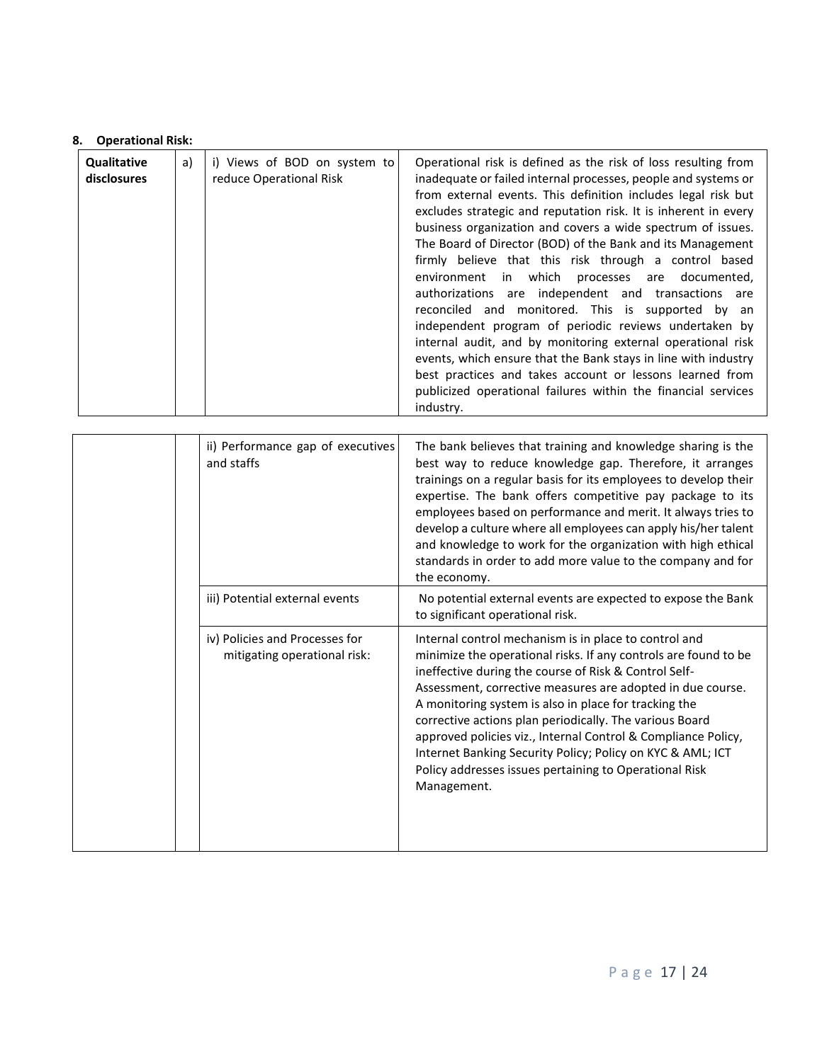#### **8. Operational Risk:**

| Qualitative<br>disclosures | i) Views of BOD on system to<br>reduce Operational Risk<br>industry. | Operational risk is defined as the risk of loss resulting from<br>inadequate or failed internal processes, people and systems or<br>from external events. This definition includes legal risk but<br>excludes strategic and reputation risk. It is inherent in every<br>business organization and covers a wide spectrum of issues.<br>The Board of Director (BOD) of the Bank and its Management<br>firmly believe that this risk through a control based<br>environment in which processes are documented,<br>authorizations are independent and transactions are<br>reconciled and monitored. This is supported by an<br>independent program of periodic reviews undertaken by<br>internal audit, and by monitoring external operational risk<br>events, which ensure that the Bank stays in line with industry<br>best practices and takes account or lessons learned from<br>publicized operational failures within the financial services |
|----------------------------|----------------------------------------------------------------------|-------------------------------------------------------------------------------------------------------------------------------------------------------------------------------------------------------------------------------------------------------------------------------------------------------------------------------------------------------------------------------------------------------------------------------------------------------------------------------------------------------------------------------------------------------------------------------------------------------------------------------------------------------------------------------------------------------------------------------------------------------------------------------------------------------------------------------------------------------------------------------------------------------------------------------------------------|
|----------------------------|----------------------------------------------------------------------|-------------------------------------------------------------------------------------------------------------------------------------------------------------------------------------------------------------------------------------------------------------------------------------------------------------------------------------------------------------------------------------------------------------------------------------------------------------------------------------------------------------------------------------------------------------------------------------------------------------------------------------------------------------------------------------------------------------------------------------------------------------------------------------------------------------------------------------------------------------------------------------------------------------------------------------------------|

|  | ii) Performance gap of executives<br>and staffs                | The bank believes that training and knowledge sharing is the<br>best way to reduce knowledge gap. Therefore, it arranges<br>trainings on a regular basis for its employees to develop their<br>expertise. The bank offers competitive pay package to its<br>employees based on performance and merit. It always tries to<br>develop a culture where all employees can apply his/her talent<br>and knowledge to work for the organization with high ethical<br>standards in order to add more value to the company and for<br>the economy.                                   |
|--|----------------------------------------------------------------|-----------------------------------------------------------------------------------------------------------------------------------------------------------------------------------------------------------------------------------------------------------------------------------------------------------------------------------------------------------------------------------------------------------------------------------------------------------------------------------------------------------------------------------------------------------------------------|
|  | iii) Potential external events                                 | No potential external events are expected to expose the Bank<br>to significant operational risk.                                                                                                                                                                                                                                                                                                                                                                                                                                                                            |
|  | iv) Policies and Processes for<br>mitigating operational risk: | Internal control mechanism is in place to control and<br>minimize the operational risks. If any controls are found to be<br>ineffective during the course of Risk & Control Self-<br>Assessment, corrective measures are adopted in due course.<br>A monitoring system is also in place for tracking the<br>corrective actions plan periodically. The various Board<br>approved policies viz., Internal Control & Compliance Policy,<br>Internet Banking Security Policy; Policy on KYC & AML; ICT<br>Policy addresses issues pertaining to Operational Risk<br>Management. |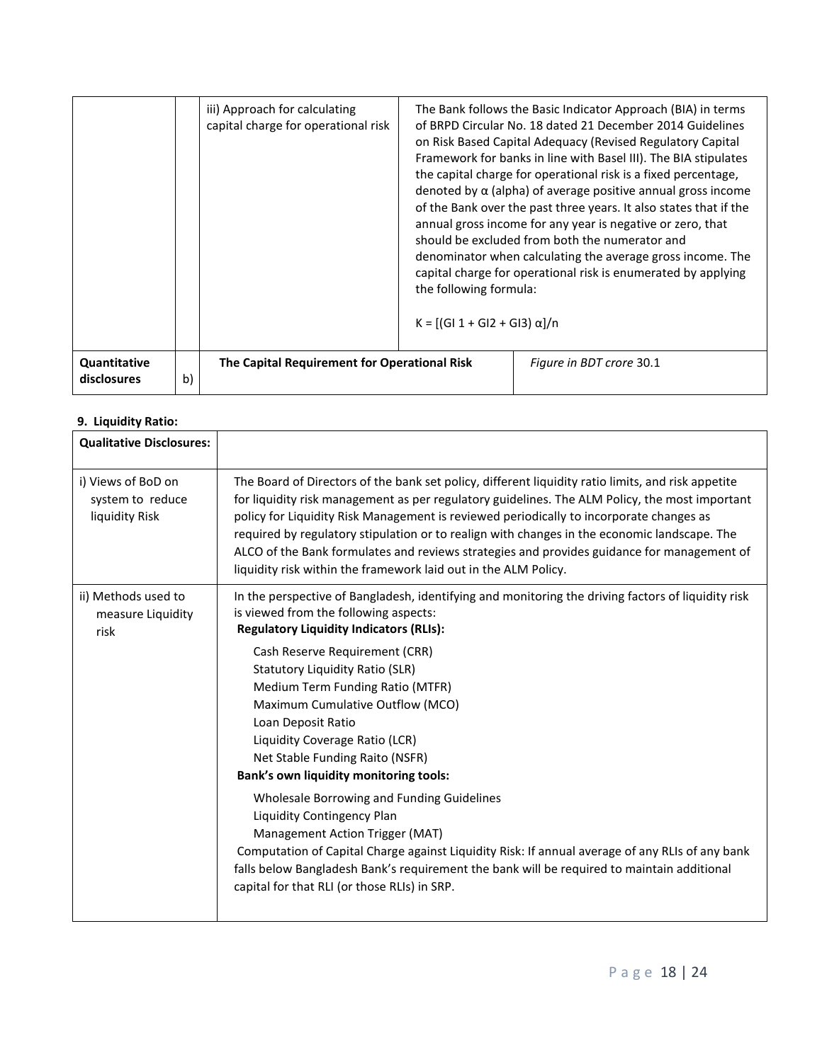|                             |    | iii) Approach for calculating<br>capital charge for operational risk | the following formula:<br>K = [(GI 1 + GI2 + GI3) α]/n | The Bank follows the Basic Indicator Approach (BIA) in terms<br>of BRPD Circular No. 18 dated 21 December 2014 Guidelines<br>on Risk Based Capital Adequacy (Revised Regulatory Capital<br>Framework for banks in line with Basel III). The BIA stipulates<br>the capital charge for operational risk is a fixed percentage,<br>denoted by $\alpha$ (alpha) of average positive annual gross income<br>of the Bank over the past three years. It also states that if the<br>annual gross income for any year is negative or zero, that<br>should be excluded from both the numerator and<br>denominator when calculating the average gross income. The<br>capital charge for operational risk is enumerated by applying |
|-----------------------------|----|----------------------------------------------------------------------|--------------------------------------------------------|-------------------------------------------------------------------------------------------------------------------------------------------------------------------------------------------------------------------------------------------------------------------------------------------------------------------------------------------------------------------------------------------------------------------------------------------------------------------------------------------------------------------------------------------------------------------------------------------------------------------------------------------------------------------------------------------------------------------------|
| Quantitative<br>disclosures | b) | The Capital Requirement for Operational Risk                         |                                                        | Figure in BDT crore 30.1                                                                                                                                                                                                                                                                                                                                                                                                                                                                                                                                                                                                                                                                                                |

# **9. Liquidity Ratio:**

| <b>Qualitative Disclosures:</b>                          |                                                                                                                                                                                                                                                                                                                                                                                                                                                                                                                                                                  |
|----------------------------------------------------------|------------------------------------------------------------------------------------------------------------------------------------------------------------------------------------------------------------------------------------------------------------------------------------------------------------------------------------------------------------------------------------------------------------------------------------------------------------------------------------------------------------------------------------------------------------------|
| i) Views of BoD on<br>system to reduce<br>liquidity Risk | The Board of Directors of the bank set policy, different liquidity ratio limits, and risk appetite<br>for liquidity risk management as per regulatory guidelines. The ALM Policy, the most important<br>policy for Liquidity Risk Management is reviewed periodically to incorporate changes as<br>required by regulatory stipulation or to realign with changes in the economic landscape. The<br>ALCO of the Bank formulates and reviews strategies and provides guidance for management of<br>liquidity risk within the framework laid out in the ALM Policy. |
| ii) Methods used to<br>measure Liquidity<br>risk         | In the perspective of Bangladesh, identifying and monitoring the driving factors of liquidity risk<br>is viewed from the following aspects:<br><b>Regulatory Liquidity Indicators (RLIs):</b>                                                                                                                                                                                                                                                                                                                                                                    |
|                                                          | Cash Reserve Requirement (CRR)<br><b>Statutory Liquidity Ratio (SLR)</b><br>Medium Term Funding Ratio (MTFR)<br>Maximum Cumulative Outflow (MCO)<br>Loan Deposit Ratio<br>Liquidity Coverage Ratio (LCR)<br>Net Stable Funding Raito (NSFR)<br>Bank's own liquidity monitoring tools:                                                                                                                                                                                                                                                                            |
|                                                          | Wholesale Borrowing and Funding Guidelines<br>Liquidity Contingency Plan<br>Management Action Trigger (MAT)<br>Computation of Capital Charge against Liquidity Risk: If annual average of any RLIs of any bank<br>falls below Bangladesh Bank's requirement the bank will be required to maintain additional<br>capital for that RLI (or those RLIs) in SRP.                                                                                                                                                                                                     |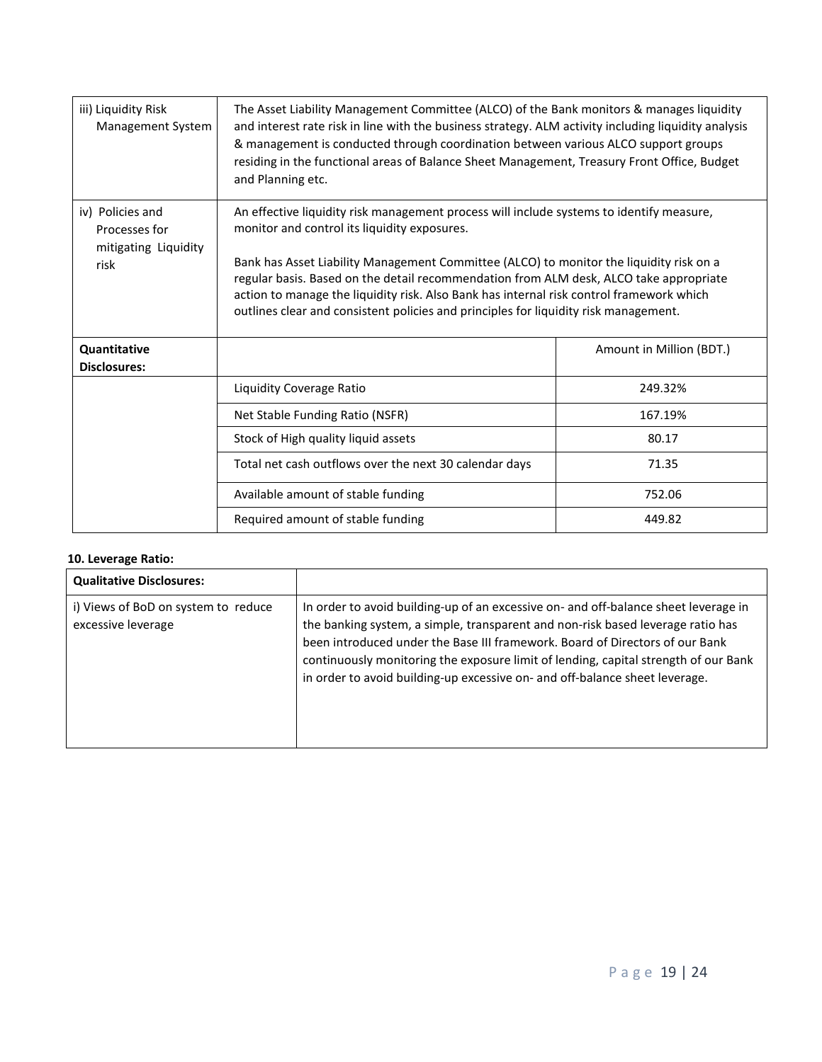| iii) Liquidity Risk<br>Management System                          | The Asset Liability Management Committee (ALCO) of the Bank monitors & manages liquidity<br>and interest rate risk in line with the business strategy. ALM activity including liquidity analysis<br>& management is conducted through coordination between various ALCO support groups<br>residing in the functional areas of Balance Sheet Management, Treasury Front Office, Budget<br>and Planning etc.                                                                                                        |                          |  |
|-------------------------------------------------------------------|-------------------------------------------------------------------------------------------------------------------------------------------------------------------------------------------------------------------------------------------------------------------------------------------------------------------------------------------------------------------------------------------------------------------------------------------------------------------------------------------------------------------|--------------------------|--|
| iv) Policies and<br>Processes for<br>mitigating Liquidity<br>risk | An effective liquidity risk management process will include systems to identify measure,<br>monitor and control its liquidity exposures.<br>Bank has Asset Liability Management Committee (ALCO) to monitor the liquidity risk on a<br>regular basis. Based on the detail recommendation from ALM desk, ALCO take appropriate<br>action to manage the liquidity risk. Also Bank has internal risk control framework which<br>outlines clear and consistent policies and principles for liquidity risk management. |                          |  |
| Quantitative<br><b>Disclosures:</b>                               |                                                                                                                                                                                                                                                                                                                                                                                                                                                                                                                   | Amount in Million (BDT.) |  |
|                                                                   | Liquidity Coverage Ratio                                                                                                                                                                                                                                                                                                                                                                                                                                                                                          | 249.32%                  |  |
|                                                                   | Net Stable Funding Ratio (NSFR)                                                                                                                                                                                                                                                                                                                                                                                                                                                                                   | 167.19%                  |  |
|                                                                   | Stock of High quality liquid assets                                                                                                                                                                                                                                                                                                                                                                                                                                                                               | 80.17                    |  |
|                                                                   | Total net cash outflows over the next 30 calendar days                                                                                                                                                                                                                                                                                                                                                                                                                                                            | 71.35                    |  |
|                                                                   | Available amount of stable funding                                                                                                                                                                                                                                                                                                                                                                                                                                                                                | 752.06                   |  |
|                                                                   | Required amount of stable funding                                                                                                                                                                                                                                                                                                                                                                                                                                                                                 | 449.82                   |  |

# **10. Leverage Ratio:**

| <b>Qualitative Disclosures:</b>                           |                                                                                                                                                                                                                                                                                                                                                                                                                              |
|-----------------------------------------------------------|------------------------------------------------------------------------------------------------------------------------------------------------------------------------------------------------------------------------------------------------------------------------------------------------------------------------------------------------------------------------------------------------------------------------------|
| i) Views of BoD on system to reduce<br>excessive leverage | In order to avoid building-up of an excessive on- and off-balance sheet leverage in<br>the banking system, a simple, transparent and non-risk based leverage ratio has<br>been introduced under the Base III framework. Board of Directors of our Bank<br>continuously monitoring the exposure limit of lending, capital strength of our Bank<br>in order to avoid building-up excessive on- and off-balance sheet leverage. |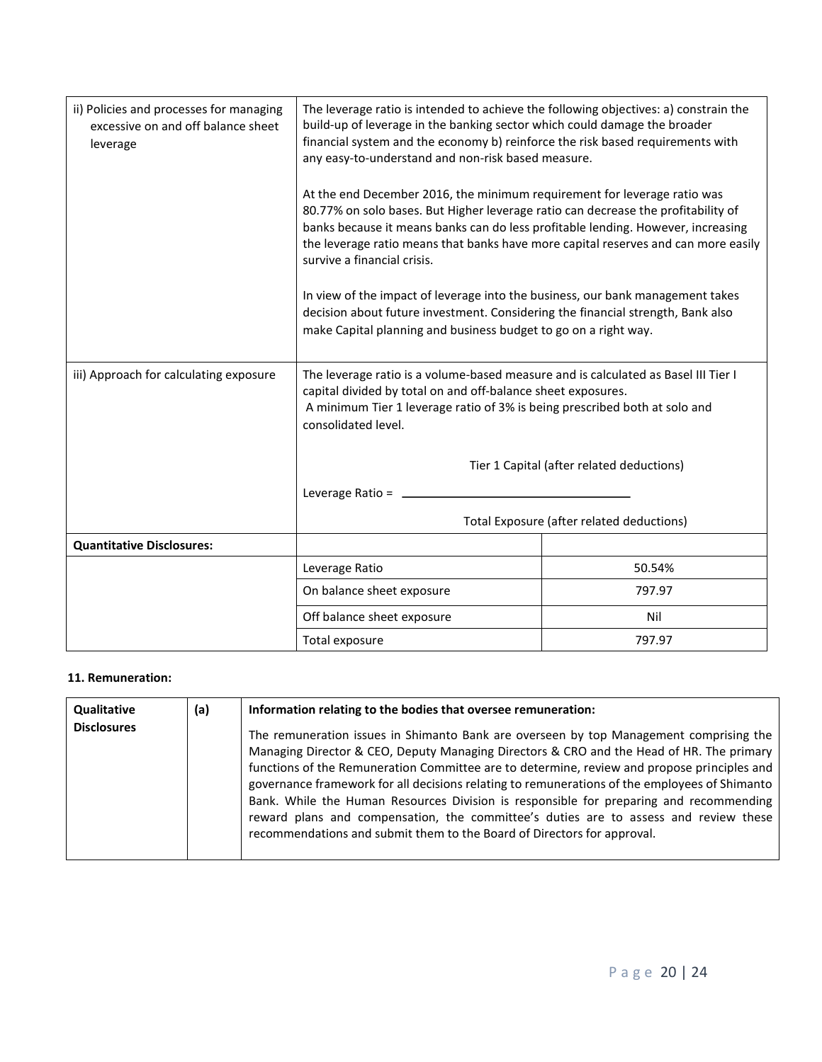| ii) Policies and processes for managing<br>excessive on and off balance sheet<br>leverage | The leverage ratio is intended to achieve the following objectives: a) constrain the<br>build-up of leverage in the banking sector which could damage the broader<br>financial system and the economy b) reinforce the risk based requirements with<br>any easy-to-understand and non-risk based measure.                                                              |        |  |
|-------------------------------------------------------------------------------------------|------------------------------------------------------------------------------------------------------------------------------------------------------------------------------------------------------------------------------------------------------------------------------------------------------------------------------------------------------------------------|--------|--|
|                                                                                           | At the end December 2016, the minimum requirement for leverage ratio was<br>80.77% on solo bases. But Higher leverage ratio can decrease the profitability of<br>banks because it means banks can do less profitable lending. However, increasing<br>the leverage ratio means that banks have more capital reserves and can more easily<br>survive a financial crisis. |        |  |
|                                                                                           | In view of the impact of leverage into the business, our bank management takes<br>decision about future investment. Considering the financial strength, Bank also<br>make Capital planning and business budget to go on a right way.                                                                                                                                   |        |  |
| iii) Approach for calculating exposure                                                    | The leverage ratio is a volume-based measure and is calculated as Basel III Tier I<br>capital divided by total on and off-balance sheet exposures.<br>A minimum Tier 1 leverage ratio of 3% is being prescribed both at solo and<br>consolidated level.                                                                                                                |        |  |
|                                                                                           | Tier 1 Capital (after related deductions)                                                                                                                                                                                                                                                                                                                              |        |  |
|                                                                                           | Leverage Ratio =                                                                                                                                                                                                                                                                                                                                                       |        |  |
|                                                                                           | Total Exposure (after related deductions)                                                                                                                                                                                                                                                                                                                              |        |  |
| <b>Quantitative Disclosures:</b>                                                          |                                                                                                                                                                                                                                                                                                                                                                        |        |  |
|                                                                                           | Leverage Ratio                                                                                                                                                                                                                                                                                                                                                         | 50.54% |  |
|                                                                                           | On balance sheet exposure                                                                                                                                                                                                                                                                                                                                              | 797.97 |  |
|                                                                                           | Off balance sheet exposure                                                                                                                                                                                                                                                                                                                                             | Nil    |  |
|                                                                                           | Total exposure                                                                                                                                                                                                                                                                                                                                                         | 797.97 |  |

#### **11. Remuneration:**

| Qualitative        | (a) | Information relating to the bodies that oversee remuneration:                                                                                                                                                                                                                                                                                                                                                                                                                                                                                                                                                                                   |
|--------------------|-----|-------------------------------------------------------------------------------------------------------------------------------------------------------------------------------------------------------------------------------------------------------------------------------------------------------------------------------------------------------------------------------------------------------------------------------------------------------------------------------------------------------------------------------------------------------------------------------------------------------------------------------------------------|
| <b>Disclosures</b> |     | The remuneration issues in Shimanto Bank are overseen by top Management comprising the<br>Managing Director & CEO, Deputy Managing Directors & CRO and the Head of HR. The primary<br>functions of the Remuneration Committee are to determine, review and propose principles and<br>governance framework for all decisions relating to remunerations of the employees of Shimanto<br>Bank. While the Human Resources Division is responsible for preparing and recommending<br>reward plans and compensation, the committee's duties are to assess and review these<br>recommendations and submit them to the Board of Directors for approval. |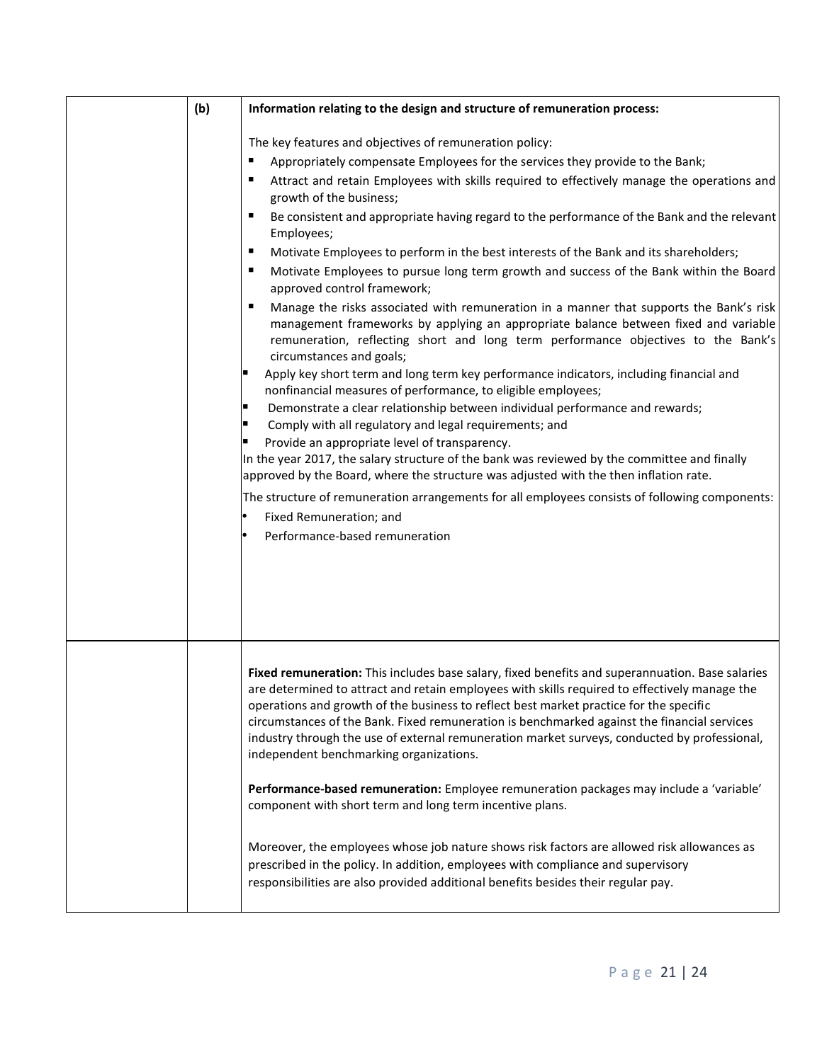| (b) | Information relating to the design and structure of remuneration process:                                                                                                                                                                                                                                                                                                                                                                                                                                                                                                                                                                                                                                                                                                                                                                                                                                                                                                                                                                                                                                                                                                                                                                                                                                                                                                                                                                                                                                                                                                                                                                      |
|-----|------------------------------------------------------------------------------------------------------------------------------------------------------------------------------------------------------------------------------------------------------------------------------------------------------------------------------------------------------------------------------------------------------------------------------------------------------------------------------------------------------------------------------------------------------------------------------------------------------------------------------------------------------------------------------------------------------------------------------------------------------------------------------------------------------------------------------------------------------------------------------------------------------------------------------------------------------------------------------------------------------------------------------------------------------------------------------------------------------------------------------------------------------------------------------------------------------------------------------------------------------------------------------------------------------------------------------------------------------------------------------------------------------------------------------------------------------------------------------------------------------------------------------------------------------------------------------------------------------------------------------------------------|
|     | The key features and objectives of remuneration policy:<br>Appropriately compensate Employees for the services they provide to the Bank;<br>٠<br>Attract and retain Employees with skills required to effectively manage the operations and<br>٠<br>growth of the business;<br>Be consistent and appropriate having regard to the performance of the Bank and the relevant<br>п<br>Employees;<br>٠<br>Motivate Employees to perform in the best interests of the Bank and its shareholders;<br>Motivate Employees to pursue long term growth and success of the Bank within the Board<br>٠<br>approved control framework;<br>٠<br>Manage the risks associated with remuneration in a manner that supports the Bank's risk<br>management frameworks by applying an appropriate balance between fixed and variable<br>remuneration, reflecting short and long term performance objectives to the Bank's<br>circumstances and goals;<br>Apply key short term and long term key performance indicators, including financial and<br>nonfinancial measures of performance, to eligible employees;<br>Demonstrate a clear relationship between individual performance and rewards;<br>Comply with all regulatory and legal requirements; and<br>Provide an appropriate level of transparency.<br>In the year 2017, the salary structure of the bank was reviewed by the committee and finally<br>approved by the Board, where the structure was adjusted with the then inflation rate.<br>The structure of remuneration arrangements for all employees consists of following components:<br>Fixed Remuneration; and<br>Performance-based remuneration |
|     | Fixed remuneration: This includes base salary, fixed benefits and superannuation. Base salaries<br>are determined to attract and retain employees with skills required to effectively manage the<br>operations and growth of the business to reflect best market practice for the specific<br>circumstances of the Bank. Fixed remuneration is benchmarked against the financial services<br>industry through the use of external remuneration market surveys, conducted by professional,<br>independent benchmarking organizations.<br>Performance-based remuneration: Employee remuneration packages may include a 'variable'<br>component with short term and long term incentive plans.                                                                                                                                                                                                                                                                                                                                                                                                                                                                                                                                                                                                                                                                                                                                                                                                                                                                                                                                                    |
|     | Moreover, the employees whose job nature shows risk factors are allowed risk allowances as<br>prescribed in the policy. In addition, employees with compliance and supervisory<br>responsibilities are also provided additional benefits besides their regular pay.                                                                                                                                                                                                                                                                                                                                                                                                                                                                                                                                                                                                                                                                                                                                                                                                                                                                                                                                                                                                                                                                                                                                                                                                                                                                                                                                                                            |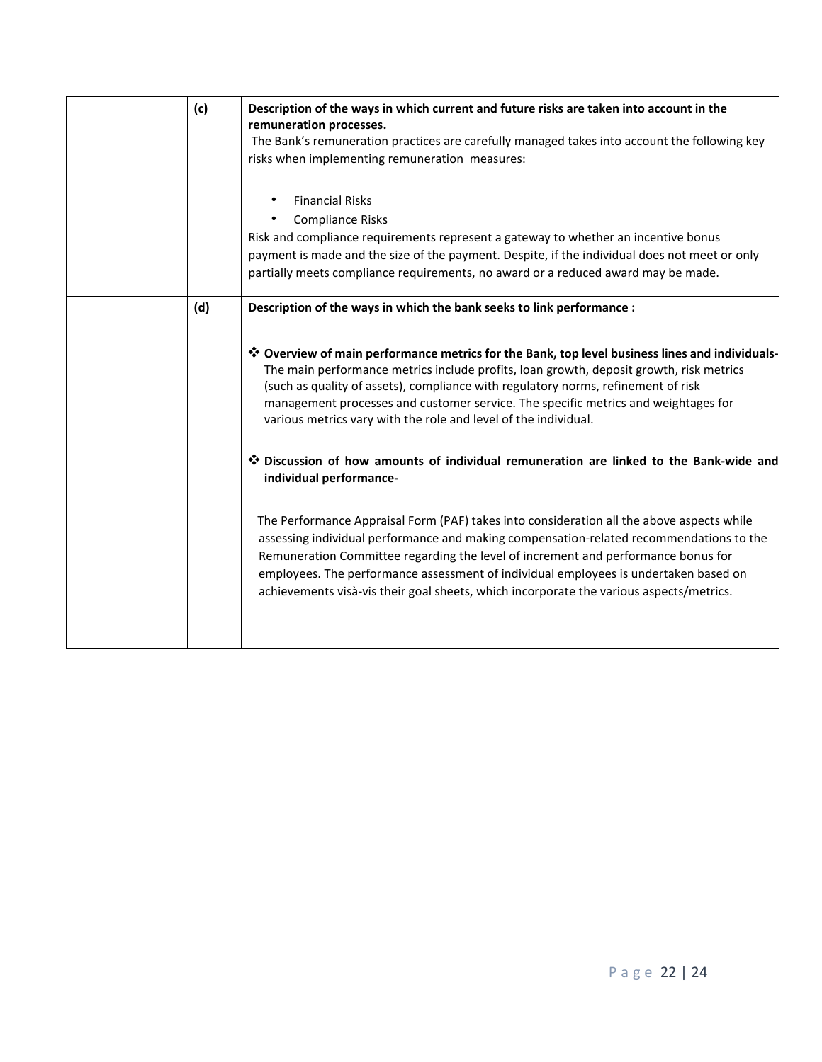| (c) | Description of the ways in which current and future risks are taken into account in the<br>remuneration processes.<br>The Bank's remuneration practices are carefully managed takes into account the following key<br>risks when implementing remuneration measures:<br><b>Financial Risks</b><br>$\bullet$<br><b>Compliance Risks</b>                                                                                                                       |
|-----|--------------------------------------------------------------------------------------------------------------------------------------------------------------------------------------------------------------------------------------------------------------------------------------------------------------------------------------------------------------------------------------------------------------------------------------------------------------|
|     | Risk and compliance requirements represent a gateway to whether an incentive bonus<br>payment is made and the size of the payment. Despite, if the individual does not meet or only<br>partially meets compliance requirements, no award or a reduced award may be made.                                                                                                                                                                                     |
| (d) | Description of the ways in which the bank seeks to link performance :                                                                                                                                                                                                                                                                                                                                                                                        |
|     | * Overview of main performance metrics for the Bank, top level business lines and individuals-<br>The main performance metrics include profits, loan growth, deposit growth, risk metrics<br>(such as quality of assets), compliance with regulatory norms, refinement of risk<br>management processes and customer service. The specific metrics and weightages for<br>various metrics vary with the role and level of the individual.                      |
|     | * Discussion of how amounts of individual remuneration are linked to the Bank-wide and<br>individual performance-                                                                                                                                                                                                                                                                                                                                            |
|     | The Performance Appraisal Form (PAF) takes into consideration all the above aspects while<br>assessing individual performance and making compensation-related recommendations to the<br>Remuneration Committee regarding the level of increment and performance bonus for<br>employees. The performance assessment of individual employees is undertaken based on<br>achievements visà-vis their goal sheets, which incorporate the various aspects/metrics. |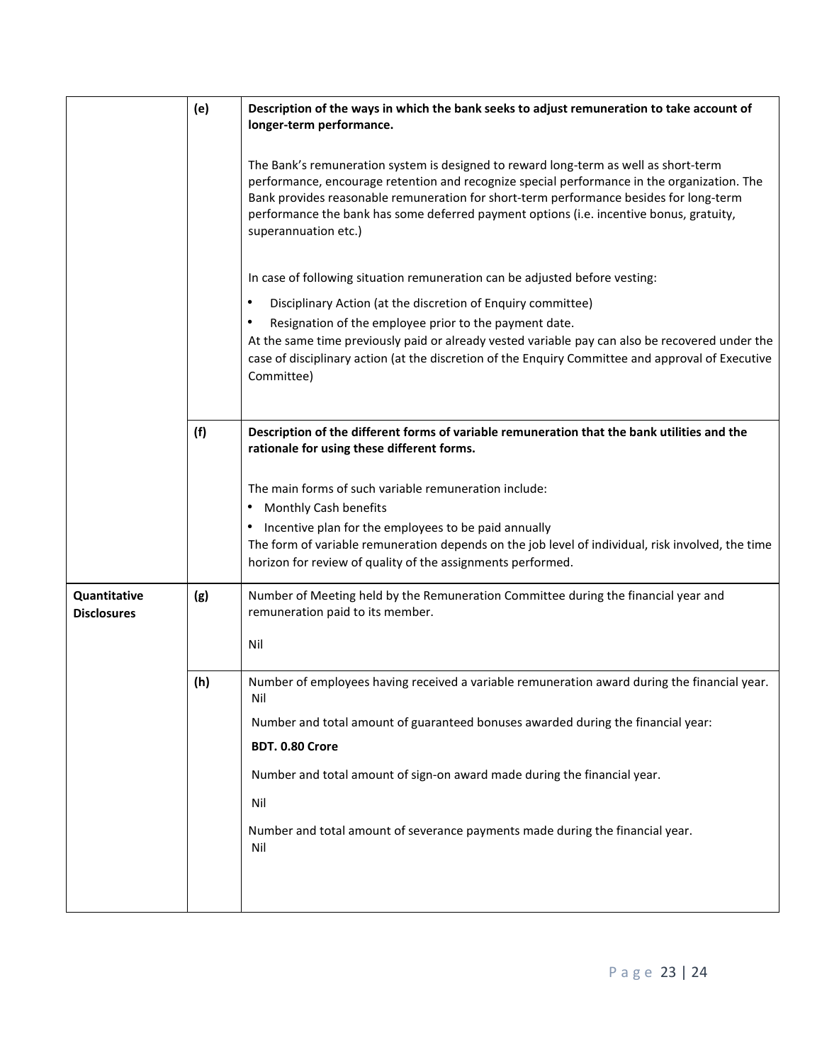|                                    | (e) | Description of the ways in which the bank seeks to adjust remuneration to take account of<br>longer-term performance.                                                                                                                                                                                                                                                                            |
|------------------------------------|-----|--------------------------------------------------------------------------------------------------------------------------------------------------------------------------------------------------------------------------------------------------------------------------------------------------------------------------------------------------------------------------------------------------|
|                                    |     | The Bank's remuneration system is designed to reward long-term as well as short-term<br>performance, encourage retention and recognize special performance in the organization. The<br>Bank provides reasonable remuneration for short-term performance besides for long-term<br>performance the bank has some deferred payment options (i.e. incentive bonus, gratuity,<br>superannuation etc.) |
|                                    |     | In case of following situation remuneration can be adjusted before vesting:                                                                                                                                                                                                                                                                                                                      |
|                                    |     | Disciplinary Action (at the discretion of Enquiry committee)<br>٠                                                                                                                                                                                                                                                                                                                                |
|                                    |     | Resignation of the employee prior to the payment date.<br>$\bullet$<br>At the same time previously paid or already vested variable pay can also be recovered under the<br>case of disciplinary action (at the discretion of the Enquiry Committee and approval of Executive<br>Committee)                                                                                                        |
|                                    | (f) | Description of the different forms of variable remuneration that the bank utilities and the<br>rationale for using these different forms.                                                                                                                                                                                                                                                        |
|                                    |     | The main forms of such variable remuneration include:<br>Monthly Cash benefits<br>٠<br>Incentive plan for the employees to be paid annually<br>The form of variable remuneration depends on the job level of individual, risk involved, the time<br>horizon for review of quality of the assignments performed.                                                                                  |
| Quantitative<br><b>Disclosures</b> | (g) | Number of Meeting held by the Remuneration Committee during the financial year and<br>remuneration paid to its member.                                                                                                                                                                                                                                                                           |
|                                    |     | Nil                                                                                                                                                                                                                                                                                                                                                                                              |
|                                    | (h) | Number of employees having received a variable remuneration award during the financial year.<br>Nil                                                                                                                                                                                                                                                                                              |
|                                    |     | Number and total amount of guaranteed bonuses awarded during the financial year:                                                                                                                                                                                                                                                                                                                 |
|                                    |     | BDT. 0.80 Crore<br>Number and total amount of sign-on award made during the financial year.                                                                                                                                                                                                                                                                                                      |
|                                    |     | Nil                                                                                                                                                                                                                                                                                                                                                                                              |
|                                    |     | Number and total amount of severance payments made during the financial year.<br>Nil                                                                                                                                                                                                                                                                                                             |
|                                    |     |                                                                                                                                                                                                                                                                                                                                                                                                  |